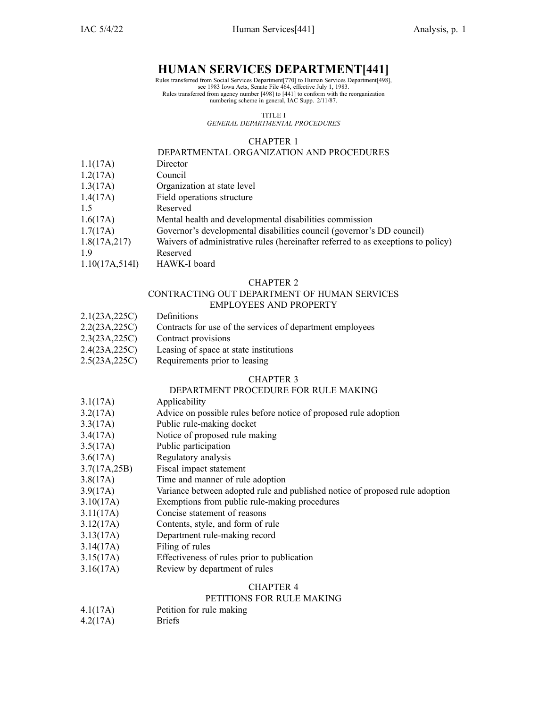## **HUMAN SERVICES DEPARTMENT[441]**

Rules transferred from Social Services Department[770] to Human Services Department[498], see 1983 Iowa Acts, Senate File 464, effective July 1, 1983. Rules transferred from agency number [498] to [441] to conform with the reorganization numbering scheme in general, IAC Supp. 2/11/87.

TITLE I

*GENERAL DEPARTMENTAL PROCEDURES*

#### CHAPTER 1

### DEPARTMENTAL ORGANIZATION AND PROCEDURES

- 1.1(17A) Director
- 1.2(17A) Council
- 1.3(17A) Organization at state level
- 1.4(17A) Field operations structure
- 1.5 Reserved
- 1.6(17A) Mental health and developmental disabilities commission
- 1.7(17A) Governor's developmental disabilities council (governor's DD council)
- 1.8(17A,217) Waivers of administrative rules (hereinafter referred to as exceptions to policy)
- 1.9 Reserved
- 1.10(17A,514I) HAWK-I board

#### CHAPTER 2

# CONTRACTING OUT DEPARTMENT OF HUMAN SERVICES

- EMPLOYEES AND PROPERTY
- 2.1(23A,225C) Definitions
- 2.2(23A,225C) Contracts for use of the services of department employees
- 2.3(23A,225C) Contract provisions
- 2.4(23A,225C) Leasing of space at state institutions
- 2.5(23A,225C) Requirements prior to leasing

#### CHAPTER 3

### DEPARTMENT PROCEDURE FOR RULE MAKING

- 3.1(17A) Applicability
- 3.2(17A) Advice on possible rules before notice of proposed rule adoption
- 3.3(17A) Public rule-making docket
- 3.4(17A) Notice of proposed rule making
- 3.5(17A) Public participation
- 3.6(17A) Regulatory analysis
- 3.7(17A,25B) Fiscal impact statement
- 3.8(17A) Time and manner of rule adoption
- 3.9(17A) Variance between adopted rule and published notice of proposed rule adoption
- 3.10(17A) Exemptions from public rule-making procedures
- 3.11(17A) Concise statement of reasons
- 3.12(17A) Contents, style, and form of rule
- 3.13(17A) Department rule-making record
- 3.14(17A) Filing of rules
- 3.15(17A) Effectiveness of rules prior to publication
- 3.16(17A) Review by department of rules

#### CHAPTER 4

#### PETITIONS FOR RULE MAKING

- 4.1(17A) Petition for rule making
- 4.2(17A) Briefs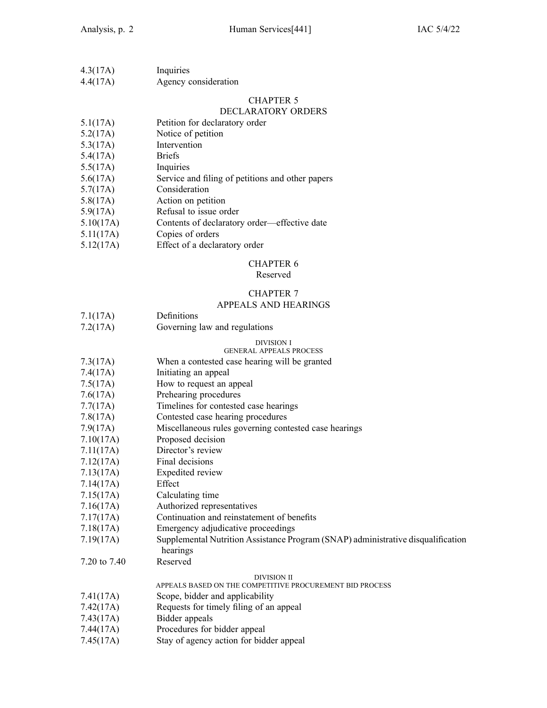| 4.3(17A) | Inquiries            |
|----------|----------------------|
| 4.4(17A) | Agency consideration |

### DECLARATORY ORDERS

| 5.1(17A) | Petition for declaratory order |  |
|----------|--------------------------------|--|
|----------|--------------------------------|--|

- 5.2(17A) Notice of petition
- 5.3(17A) Intervention
- 5.4(17A) Briefs
- 5.5(17A) Inquiries
- 5.6(17A) Service and filing of petitions and other papers
- 5.7(17A) Consideration
- 5.8(17A) Action on petition
- 5.9(17A) Refusal to issue order
- 5.10(17A) Contents of declaratory order—effective date
- 5.11(17A) Copies of orders
- 5.12(17A) Effect of <sup>a</sup> declaratory order

#### CHAPTER 6

#### Reserved

# CHAPTER 7

### APPEALS AND HEARINGS

| 7.1(17A) | Definitions |  |  |
|----------|-------------|--|--|
|          |             |  |  |

7.2(17A) Governing law and regulations

#### DIVISION I GENERAL APPEALS PROCESS

### 7.3(17A) When <sup>a</sup> contested case hearing will be granted

- 7.4(17A) Initiating an appeal
- 7.5(17A) How to reques<sup>t</sup> an appeal
- 7.6(17A) Prehearing procedures
- 7.7(17A) Timelines for contested case hearings
- 7.8(17A) Contested case hearing procedures
- 7.9(17A) Miscellaneous rules governing contested case hearings
- 7.10(17A) Proposed decision
- 7.11(17A) Director's review
- 7.12(17A) Final decisions
- 7.13(17A) Expedited review
- 7.14(17A) Effect
- 7.15(17A) Calculating time
- 7.16(17A) Authorized representatives
- 7.17(17A) Continuation and reinstatement of benefits
- 7.18(17A) Emergency adjudicative proceedings
- 7.19(17A) Supplemental Nutrition Assistance Program (SNAP) administrative disqualification hearings
- 7.20 to 7.40 Reserved

#### DIVISION II

- APPEALS BASED ON THE COMPETITIVE PROCUREMENT BID PROCESS
- 7.41(17A) Scope, bidder and applicability
- 7.42(17A) Requests for timely filing of an appeal
- 7.43(17A) Bidder appeals
- 7.44(17A) Procedures for bidder appeal
- 7.45(17A) Stay of agency action for bidder appeal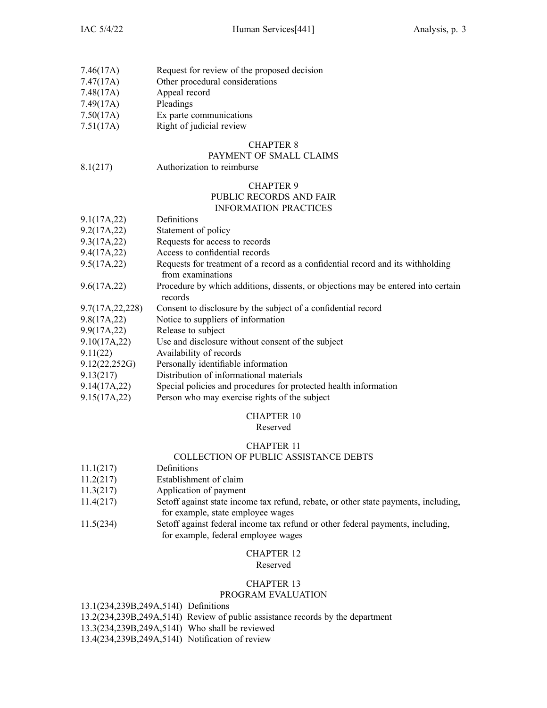| 7.46(17A) |  |  | Request for review of the proposed decision |  |
|-----------|--|--|---------------------------------------------|--|
|           |  |  |                                             |  |

- 7.47(17A) Other procedural considerations
- 7.48(17A) Appeal record
- 7.49(17A) Pleadings
- 7.50(17A) Ex parte communications
- 7.51(17A) Right of judicial review

### PAYMENT OF SMALL CLAIMS

8.1(217) Authorization to reimburse

# CHAPTER 9

# PUBLIC RECORDS AND FAIR

### INFORMATION PRACTICES

| Definitions                                                                                          |
|------------------------------------------------------------------------------------------------------|
| Statement of policy                                                                                  |
| Requests for access to records                                                                       |
| Access to confidential records                                                                       |
| Requests for treatment of a record as a confidential record and its withholding<br>from examinations |
| Procedure by which additions, dissents, or objections may be entered into certain<br>records         |
| Consent to disclosure by the subject of a confidential record                                        |
| Notice to suppliers of information                                                                   |
| Release to subject                                                                                   |
| Use and disclosure without consent of the subject                                                    |
| Availability of records                                                                              |
| Personally identifiable information                                                                  |
| Distribution of informational materials                                                              |
| Special policies and procedures for protected health information                                     |
| Person who may exercise rights of the subject                                                        |
|                                                                                                      |

### CHAPTER 10

### Reserved

### CHAPTER 11

### COLLECTION OF PUBLIC ASSISTANCE DEBTS

- 11.1(217) Definitions
- 11.2(217) Establishment of claim
- 11.3(217) Application of paymen<sup>t</sup>
- 11.4(217) Setoff against state income tax refund, rebate, or other state payments, including, for example, state employee wages
- 11.5(234) Setoff against federal income tax refund or other federal payments, including, for example, federal employee wages

#### CHAPTER 12 Reserved

### CHAPTER 13

### PROGRAM EVALUATION

13.1(234,239B,249A,514I) Definitions

- 13.2(234,239B,249A,514I) Review of public assistance records by the department
- 13.3(234,239B,249A,514I) Who shall be reviewed
- 13.4(234,239B,249A,514I) Notification of review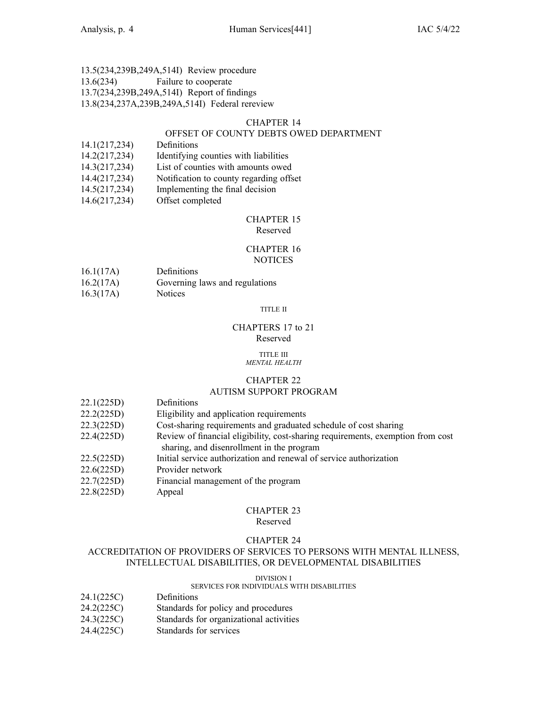### 13.5(234,239B,249A,514I) Review procedure 13.6(234) Failure to cooperate 13.7(234,239B,249A,514I) Report of findings

### 13.8(234,237A,239B,249A,514I) Federal rereview

### CHAPTER 14

### OFFSET OF COUNTY DEBTS OWED DEPARTMENT

- 14.1(217,234) Definitions
- 14.2(217,234) Identifying counties with liabilities
- 14.3(217,234) List of counties with amounts owed
- 14.4(217,234) Notification to county regarding offset
- 14.5(217,234) Implementing the final decision
- 14.6(217,234) Offset completed

#### CHAPTER 15 Reserved

### CHAPTER 16 **NOTICES**

- 16.1(17A) Definitions
- 16.2(17A) Governing laws and regulations
- 16.3(17A) Notices

#### TITLE II

### CHAPTERS 17 to 21 Reserved

#### TITLE III *MENTAL HEALTH*

### CHAPTER 22

### AUTISM SUPPORT PROGRAM

- 22.1(225D) Definitions
- 22.2(225D) Eligibility and application requirements
- 22.3(225D) Cost-sharing requirements and graduated schedule of cost sharing
- 22.4(225D) Review of financial eligibility, cost-sharing requirements, exemption from cost sharing, and disenrollment in the program
- 22.5(225D) Initial service authorization and renewal of service authorization
- 22.6(225D) Provider network
- 22.7(225D) Financial managemen<sup>t</sup> of the program
- 22.8(225D) Appeal

### CHAPTER 23

#### Reserved

### CHAPTER 24

### ACCREDITATION OF PROVIDERS OF SERVICES TO PERSONS WITH MENTAL ILLNESS, INTELLECTUAL DISABILITIES, OR DEVELOPMENTAL DISABILITIES

#### DIVISION I

### SERVICES FOR INDIVIDUALS WITH DISABILITIES

- 24.1(225C) Definitions
- 24.2(225C) Standards for policy and procedures
- 24.3(225C) Standards for organizational activities
- 24.4(225C) Standards for services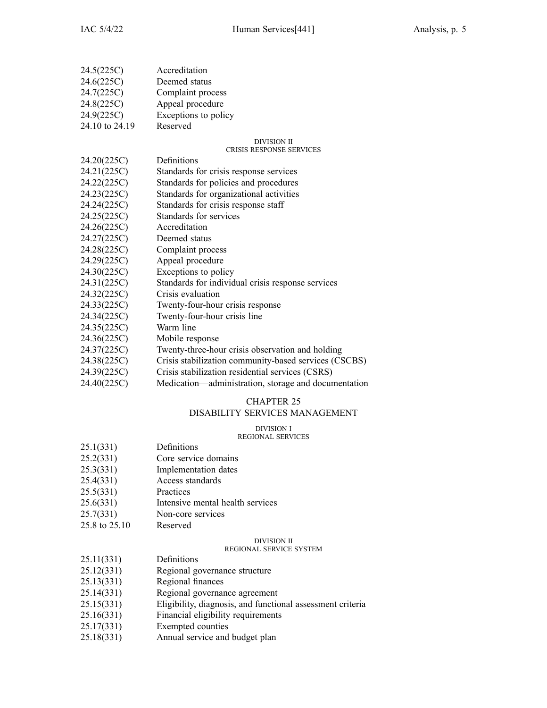| 24.5(225C)     | Accreditation                                         |
|----------------|-------------------------------------------------------|
| 24.6(225C)     | Deemed status                                         |
| 24.7(225C)     | Complaint process                                     |
| 24.8(225C)     | Appeal procedure                                      |
| 24.9(225C)     | Exceptions to policy                                  |
| 24.10 to 24.19 | Reserved                                              |
|                | <b>DIVISION II</b><br><b>CRISIS RESPONSE SERVICES</b> |
| 24.20(225C)    | Definitions                                           |
| 24.21(225C)    | Standards for crisis response services                |
| 24.22(225C)    | Standards for policies and procedures                 |
| 24.23(225C)    | Standards for organizational activities               |
| 24.24(225C)    | Standards for crisis response staff                   |
| 24.25(225C)    | Standards for services                                |
| 24.26(225C)    | Accreditation                                         |
| 24.27(225C)    | Deemed status                                         |
| 24.28(225C)    | Complaint process                                     |
| 24.29(225C)    | Appeal procedure                                      |
| 24.30(225C)    | Exceptions to policy                                  |
| 24.31(225C)    | Standards for individual crisis response services     |
| 24.32(225C)    | Crisis evaluation                                     |
| 24.33(225C)    | Twenty-four-hour crisis response                      |
| 24.34(225C)    | Twenty-four-hour crisis line                          |
| 24.35(225C)    | Warm line                                             |
| 24.36(225C)    | Mobile response                                       |
| 24.37(225C)    | Twenty-three-hour crisis observation and holding      |

- 24.38(225C) Crisis stabilization community-based services (CSCBS)
- 24.39(225C) Crisis stabilization residential services (CSRS)
- 24.40(225C) Medication—administration, storage and documentation

#### CHAPTER 25 DISABILITY SERVICES MANAGEMENT

# DIVISION I

#### REGIONAL SERVICES

| 25.1(331)<br>Definitions |  |
|--------------------------|--|
|--------------------------|--|

- 25.2(331) Core service domains
- 25.3(331) Implementation dates
- 25.4(331) Access standards
- 25.5(331) Practices
- 25.6(331) Intensive mental health services
- 25.7(331) Non-core services
- 25.8 to 25.10 Reserved

### DIVISION II

### REGIONAL SERVICE SYSTEM

- 25.11(331) Definitions
- 25.12(331) Regional governance structure
- 25.13(331) Regional finances
- 25.14(331) Regional governance agreemen<sup>t</sup>
- 25.15(331) Eligibility, diagnosis, and functional assessment criteria
- 25.16(331) Financial eligibility requirements
- 25.17(331) Exempted counties
- 25.18(331) Annual service and budget plan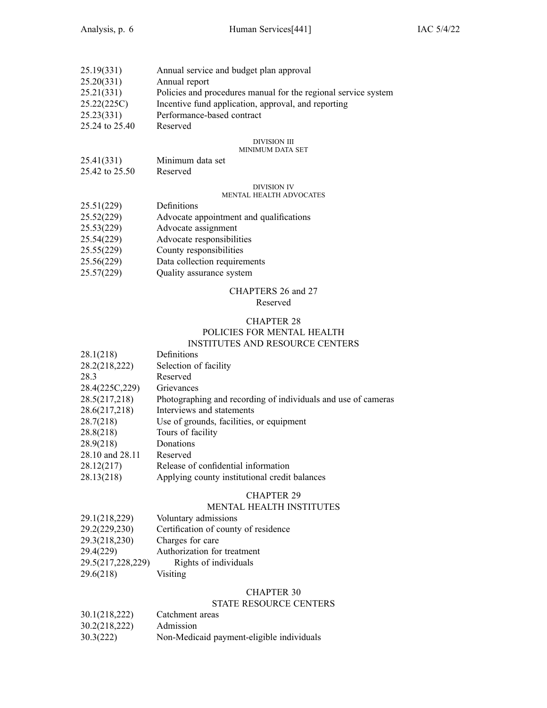| 25.19(331)     | Annual service and budget plan approval                        |
|----------------|----------------------------------------------------------------|
| 25.20(331)     | Annual report                                                  |
| 25.21(331)     | Policies and procedures manual for the regional service system |
| 25.22(225C)    | Incentive fund application, approval, and reporting            |
| 25.23(331)     | Performance-based contract                                     |
| 25.24 to 25.40 | Reserved                                                       |

### DIVISION III

### MINIMUM DATA SET

| 25.41(331)     | Minimum data set |
|----------------|------------------|
| 25.42 to 25.50 | Reserved         |

#### DIVISION IV

### MENTAL HEALTH ADVOCATES

| 25.51(229) | Definitions |  |
|------------|-------------|--|
|            |             |  |

| Advocate appointment and qualifications<br>25.52(229) |  |
|-------------------------------------------------------|--|
|-------------------------------------------------------|--|

- 25.53(229) Advocate assignment
- 25.54(229) Advocate responsibilities
- 25.55(229) County responsibilities
- 25.56(229) Data collection requirements
- 25.57(229) Quality assurance system

### CHAPTERS 26 and 27

### Reserved

### CHAPTER 28 POLICIES FOR MENTAL HEALTH INSTITUTES AND RESOURCE CENTERS

| 28.1(218)       | Definitions                                                   |
|-----------------|---------------------------------------------------------------|
| 28.2(218,222)   | Selection of facility                                         |
| 28.3            | Reserved                                                      |
| 28.4(225C, 229) | Grievances                                                    |
| 28.5(217,218)   | Photographing and recording of individuals and use of cameras |
| 28.6(217,218)   | Interviews and statements                                     |
| 28.7(218)       | Use of grounds, facilities, or equipment                      |
| 28.8(218)       | Tours of facility                                             |
| 28.9(218)       | Donations                                                     |
| 28.10 and 28.11 | Reserved                                                      |
| 28.12(217)      | Release of confidential information                           |
| 28.13(218)      | Applying county institutional credit balances                 |

### CHAPTER 29

### MENTAL HEALTH INSTITUTES

| 29.1(218,229)     | Voluntary admissions                 |
|-------------------|--------------------------------------|
| 29.2(229,230)     | Certification of county of residence |
| 29.3(218,230)     | Charges for care                     |
| 29.4(229)         | Authorization for treatment          |
| 29.5(217,228,229) | Rights of individuals                |
| 29.6(218)         | Visiting                             |
|                   |                                      |

### CHAPTER 30

### STATE RESOURCE CENTERS

- 30.1(218,222) Catchment areas 30.2(218,222) Admission
- 30.3(222) Non-Medicaid payment-eligible individuals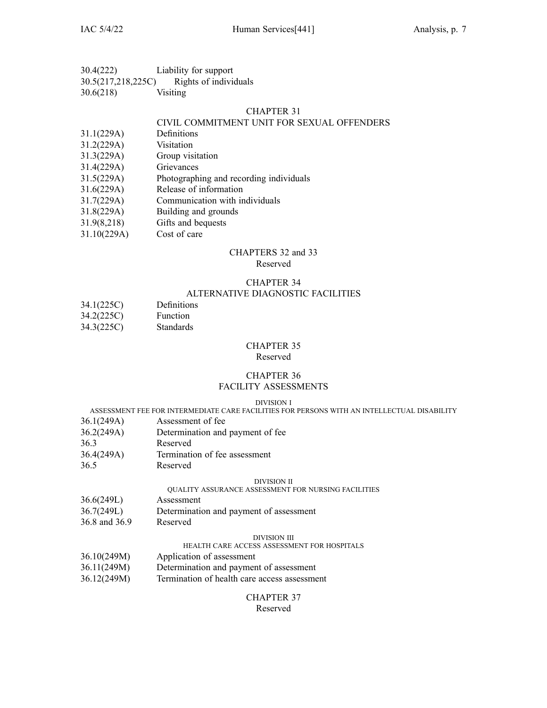| 30.4(222)          | Liability for support |
|--------------------|-----------------------|
| 30.5(217,218,225C) | Rights of individuals |

| 30.6(218) | Visiting |
|-----------|----------|
|           |          |

### CIVIL COMMITMENT UNIT FOR SEXUAL OFFENDERS

- 31.1(229A) Definitions
- 31.2(229A) Visitation
- 31.3(229A) Group visitation
- 31.4(229A) Grievances
- 31.5(229A) Photographing and recording individuals
- 31.6(229A) Release of information
- 31.7(229A) Communication with individuals
- 31.8(229A) Building and grounds
- 31.9(8,218) Gifts and bequests
- 31.10(229A) Cost of care

# CHAPTERS 32 and 33

### Reserved

## CHAPTER 34

### ALTERNATIVE DIAGNOSTIC FACILITIES

| 34.1(225C) | Definitions      |
|------------|------------------|
| 34.2(225C) | <b>Function</b>  |
| 34.3(225C) | <b>Standards</b> |

### CHAPTER 35

#### Reserved

### CHAPTER 36 FACILITY ASSESSMENTS

#### DIVISION I

### ASSESSMENT FEE FOR INTERMEDIATE CARE FACILITIES FOR PERSONS WITH AN INTELLECTUAL DISABILITY

- 36.1(249A) Assessment of fee
- 36.2(249A) Determination and paymen<sup>t</sup> of fee
- 36.3 Reserved
- 36.4(249A) Termination of fee assessment
- 36.5 Reserved

#### DIVISION II

### QUALITY ASSURANCE ASSESSMENT FOR NURSING FACILITIES

- 36.6(249L) Assessment
- 36.7(249L) Determination and paymen<sup>t</sup> of assessment
- 36.8 and 36.9 Reserved

#### DIVISION III

### HEALTH CARE ACCESS ASSESSMENT FOR HOSPITALS

- 36.10(249M) Application of assessment
- 36.11(249M) Determination and paymen<sup>t</sup> of assessment
- 36.12(249M) Termination of health care access assessment

#### CHAPTER 37 Reserved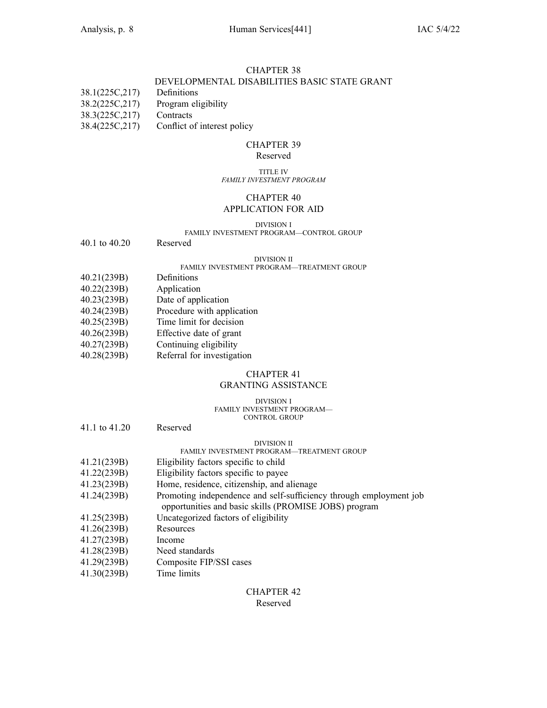### DEVELOPMENTAL DISABILITIES BASIC STATE GRANT

| 38.1(225C,217) | Definitions |
|----------------|-------------|
|                |             |

- 38.2(225C,217) Program eligibility
- 38.3(225C,217) Contracts
- 38.4(225C,217) Conflict of interest policy

#### CHAPTER 39 Reserved

#### TITLE IV *FAMILY INVESTMENT PROGRAM*

### CHAPTER 40 APPLICATION FOR AID

#### DIVISION I FAMILY INVESTMENT PROGRAM—CONTROL GROUP

40.1 to 40.20 Reserved

#### DIVISION II

### FAMILY INVESTMENT PROGRAM—TREATMENT GROUP

- 40.21(239B) Definitions
- 40.22(239B) Application
- 40.23(239B) Date of application
- 40.24(239B) Procedure with application
- 40.25(239B) Time limit for decision
- 40.26(239B) Effective date of gran<sup>t</sup>
- 40.27(239B) Continuing eligibility
- 40.28(239B) Referral for investigation
- 

## CHAPTER 41

### GRANTING ASSISTANCE

#### DIVISION I FAMILY INVESTMENT PROGRAM— CONTROL GROUP

| 41.1 to 41.20 | Reserved                                                           |
|---------------|--------------------------------------------------------------------|
|               | DIVISION II                                                        |
|               | <b>FAMILY INVESTMENT PROGRAM—TREATMENT GROUP</b>                   |
| 41.21(239B)   | Eligibility factors specific to child                              |
| 41.22(239B)   | Eligibility factors specific to payee                              |
| 41.23(239B)   | Home, residence, citizenship, and alienage                         |
| 41.24(239B)   | Promoting independence and self-sufficiency through employment job |
|               | opportunities and basic skills (PROMISE JOBS) program              |
| 41.25(239B)   | Uncategorized factors of eligibility                               |
| 41.26(239B)   | Resources                                                          |
| 41.27(239B)   | Income                                                             |
| 41.28(239B)   | Need standards                                                     |
| 41.29(239B)   | Composite FIP/SSI cases                                            |
| 11.20(230)    |                                                                    |

41.30(239B) Time limits

### CHAPTER 42 Reserved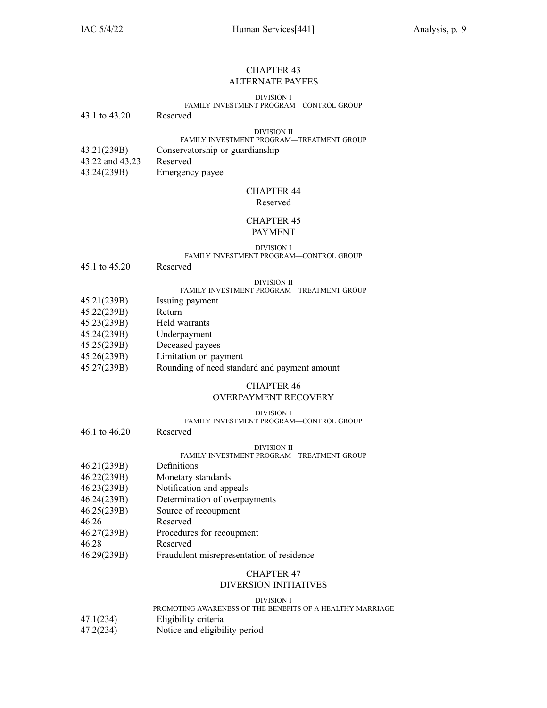#### CHAPTER 43 ALTERNATE PAYEES

#### DIVISION I

### FAMILY INVESTMENT PROGRAM—CONTROL GROUP

43.1 to 43.20 Reserved

#### DIVISION II

### FAMILY INVESTMENT PROGRAM—TREATMENT GROUP

- 43.21(239B) Conservatorship or guardianship
- 43.22 and 43.23 Reserved
- 43.24(239B) Emergency payee

### CHAPTER 44 Reserved

### CHAPTER 45 PAYMENT

### DIVISION I

#### FAMILY INVESTMENT PROGRAM—CONTROL GROUP

45.1 to 45.20 Reserved

#### DIVISION II

#### FAMILY INVESTMENT PROGRAM—TREATMENT GROUP

- 45.21(239B) Issuing paymen<sup>t</sup>
- 45.22(239B) Return
- 45.23(239B) Held warrants
- 45.24(239B) Underpayment
- 45.25(239B) Deceased payees
- 45.26(239B) Limitation on paymen<sup>t</sup>
- 45.27(239B) Rounding of need standard and paymen<sup>t</sup> amount

#### CHAPTER 46 OVERPAYMENT RECOVERY

#### DIVISION I

#### FAMILY INVESTMENT PROGRAM—CONTROL GROUP

46.1 to 46.20 Reserved DIVISION II

#### FAMILY INVESTMENT PROGRAM—TREATMENT GROUP

- 46.21(239B) Definitions
- 46.22(239B) Monetary standards
- 46.23(239B) Notification and appeals
- 46.24(239B) Determination of overpayments
- 46.25(239B) Source of recoupmen<sup>t</sup>
- 46.26 Reserved
- 46.27(239B) Procedures for recoupmen<sup>t</sup>

46.28 Reserved

46.29(239B) Fraudulent misrepresentation of residence

#### CHAPTER 47 DIVERSION INITIATIVES

#### DIVISION I

## PROMOTING AWARENESS OF THE BENEFITS OF A HEALTHY MARRIAGE

- 47.1(234) Eligibility criteria
- 47.2(234) Notice and eligibility period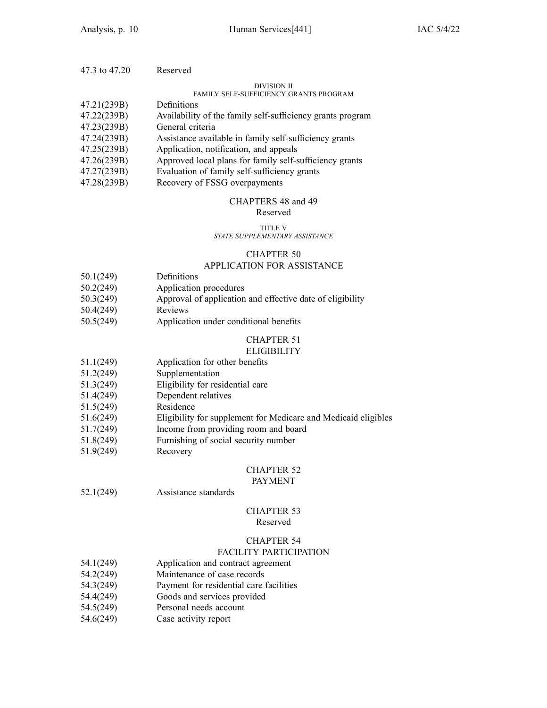| 47.3 to 47.20 | Reserved                                                   |
|---------------|------------------------------------------------------------|
|               | DIVISION II                                                |
|               | <b>FAMILY SELF-SUFFICIENCY GRANTS PROGRAM</b>              |
| 47.21(239B)   | Definitions                                                |
| 47.22(239B)   | Availability of the family self-sufficiency grants program |
| 47.23(239B)   | General criteria                                           |
| 47.24(239B)   | Assistance available in family self-sufficiency grants     |
| 47.25(239B)   | Application, notification, and appeals                     |
| 47.26(239B)   | Approved local plans for family self-sufficiency grants    |
| 47.27(239B)   | Evaluation of family self-sufficiency grants               |
| 47.28(239B)   | Recovery of FSSG overpayments                              |

### CHAPTERS 48 and 49

#### Reserved

#### TITLE V *STATE SUPPLEMENTARY ASSISTANCE*

#### CHAPTER 50

### APPLICATION FOR ASSISTANCE

| 50.1(249) | Definitions |
|-----------|-------------|
|-----------|-------------|

- 50.2(249) Application procedures
- 50.3(249) Approval of application and effective date of eligibility<br>50.4(249) Reviews
- $50.4(249)$
- 50.5(249) Application under conditional benefits

#### CHAPTER 51 **ELIGIBILITY**

- 51.1(249) Application for other benefits
- 51.2(249) Supplementation
- 51.3(249) Eligibility for residential care
- 51.4(249) Dependent relatives
- 51.5(249) Residence
- 51.6(249) Eligibility for supplement for Medicare and Medicaid eligibles
- 51.7(249) Income from providing room and board
- 51.8(249) Furnishing of social security number
- 51.9(249) Recovery

#### CHAPTER 52

#### PAYMENT

52.1(249) Assistance standards

#### CHAPTER 53 Reserved

### CHAPTER 54

### FACILITY PARTICIPATION

- 54.1(249) Application and contract agreemen<sup>t</sup>
- 54.2(249) Maintenance of case records
- 54.3(249) Payment for residential care facilities
- 54.4(249) Goods and services provided
- 54.5(249) Personal needs account
- 54.6(249) Case activity repor<sup>t</sup>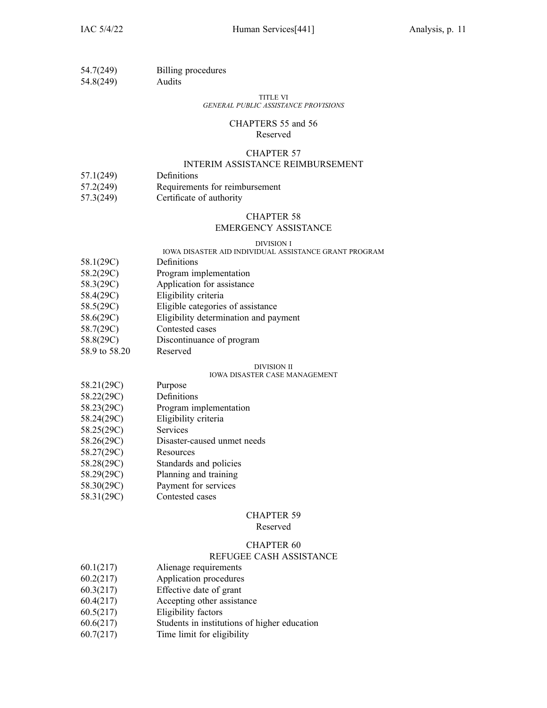| 54.7(249)                    | Billing procedures |
|------------------------------|--------------------|
| $\sim$ 4.0 $\sim$ 4.0 $\sim$ |                    |

54.8(249) Audits

#### TITLE VI *GENERAL PUBLIC ASSISTANCE PROVISIONS*

#### CHAPTERS 55 and 56 Reserved

### CHAPTER 57

### INTERIM ASSISTANCE REIMBURSEMENT

- 57.1(249) Definitions
- 57.2(249) Requirements for reimbursement
- 57.3(249) Certificate of authority

### CHAPTER 58

### EMERGENCY ASSISTANCE

#### DIVISION I

### IOWA DISASTER AID INDIVIDUAL ASSISTANCE GRANT PROGRAM

- 58.1(29C) Definitions
- 58.2(29C) Program implementation
- 58.3(29C) Application for assistance
- 58.4(29C) Eligibility criteria
- 58.5(29C) Eligible categories of assistance
- 58.6(29C) Eligibility determination and paymen<sup>t</sup>
- 58.7(29C) Contested cases
- 58.8(29C) Discontinuance of program
- 58.9 to 58.20 Reserved

### DIVISION II

### IOWA DISASTER CASE MANAGEMENT

- 58.21(29C) Purpose
- 58.22(29C) Definitions
- 58.23(29C) Program implementation
- 58.24(29C) Eligibility criteria
- 58.25(29C) Services
- 58.26(29C) Disaster-caused unmet needs
- 58.27(29C) Resources
- 58.28(29C) Standards and policies
- 58.29(29C) Planning and training
- 58.30(29C) Payment for services
- 58.31(29C) Contested cases

### CHAPTER 59

Reserved

### CHAPTER 60

### REFUGEE CASH ASSISTANCE

- 60.1(217) Alienage requirements
- 60.2(217) Application procedures
- 60.3(217) Effective date of gran<sup>t</sup>
- 60.4(217) Accepting other assistance
- 60.5(217) Eligibility factors
- 60.6(217) Students in institutions of higher education
- 60.7(217) Time limit for eligibility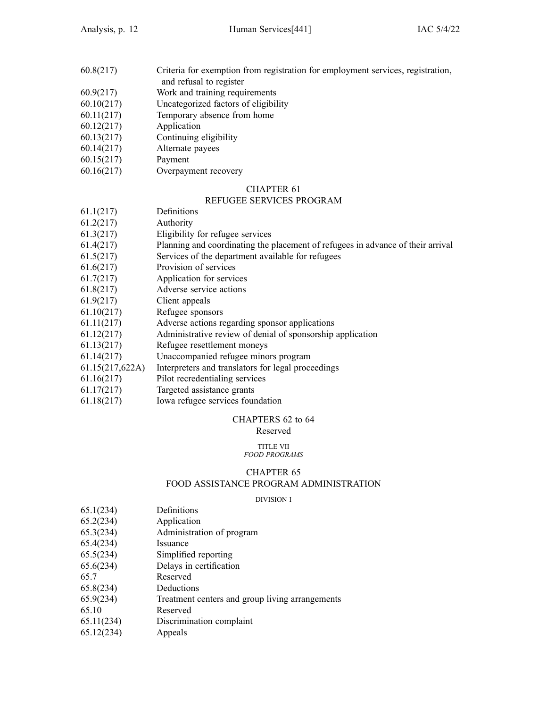- 60.8(217) Criteria for exemption from registration for employment services, registration, and refusal to register
- 60.9(217) Work and training requirements
- 60.10(217) Uncategorized factors of eligibility
- 60.11(217) Temporary absence from home
- 60.12(217) Application
- 60.13(217) Continuing eligibility
- 60.14(217) Alternate payees
- 60.15(217) Payment
- 60.16(217) Overpayment recovery

### REFUGEE SERVICES PROGRAM

|                 | кы соць энктер ткооктя                                                          |
|-----------------|---------------------------------------------------------------------------------|
| 61.1(217)       | Definitions                                                                     |
| 61.2(217)       | Authority                                                                       |
| 61.3(217)       | Eligibility for refugee services                                                |
| 61.4(217)       | Planning and coordinating the placement of refugees in advance of their arrival |
| 61.5(217)       | Services of the department available for refugees                               |
| 61.6(217)       | Provision of services                                                           |
| 61.7(217)       | Application for services                                                        |
| 61.8(217)       | Adverse service actions                                                         |
| 61.9(217)       | Client appeals                                                                  |
| 61.10(217)      | Refugee sponsors                                                                |
| 61.11(217)      | Adverse actions regarding sponsor applications                                  |
| 61.12(217)      | Administrative review of denial of sponsorship application                      |
| 61.13(217)      | Refugee resettlement moneys                                                     |
| 61.14(217)      | Unaccompanied refugee minors program                                            |
| 61.15(217,622A) | Interpreters and translators for legal proceedings                              |
| 61.16(217)      | Pilot recredentialing services                                                  |
| 61.17(217)      | Targeted assistance grants                                                      |
|                 |                                                                                 |

61.18(217) Iowa refugee services foundation

### CHAPTERS 62 to 64

### Reserved

#### TITLE VII *FOOD PROGRAMS*

### CHAPTER 65 FOOD ASSISTANCE PROGRAM ADMINISTRATION

### DIVISION I

- 65.1(234) Definitions
- 65.2(234) Application
- 65.3(234) Administration of program
- 65.4(234) Issuance
- 65.5(234) Simplified reporting
- 65.6(234) Delays in certification
- 65.7 Reserved
- 65.8(234) Deductions
- 65.9(234) Treatment centers and group living arrangements
- 65.10 Reserved
- 65.11(234) Discrimination complaint
- 65.12(234) Appeals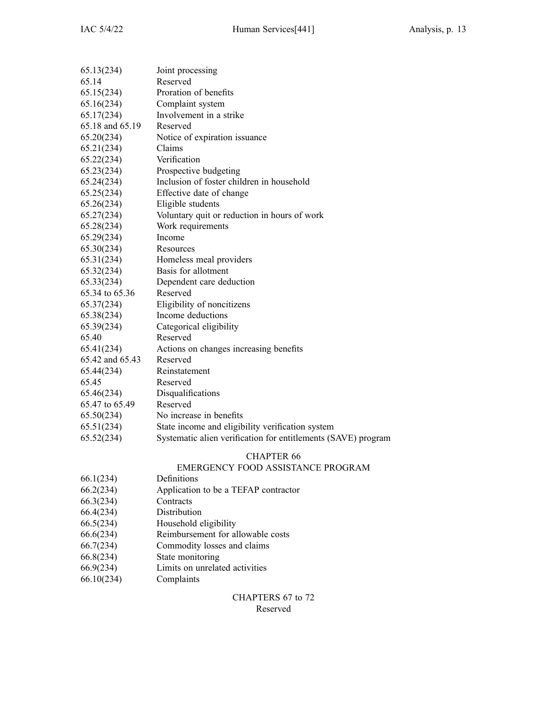| 65.13(234)      | Joint processing                                              |
|-----------------|---------------------------------------------------------------|
| 65.14           | Reserved                                                      |
| 65.15(234)      | Proration of benefits                                         |
| 65.16(234)      | Complaint system                                              |
| 65.17(234)      | Involvement in a strike                                       |
| 65.18 and 65.19 | Reserved                                                      |
| 65.20(234)      | Notice of expiration issuance                                 |
| 65.21(234)      | Claims                                                        |
| 65.22(234)      | Verification                                                  |
| 65.23(234)      | Prospective budgeting                                         |
| 65.24(234)      | Inclusion of foster children in household                     |
| 65.25(234)      | Effective date of change                                      |
| 65.26(234)      | Eligible students                                             |
| 65.27(234)      | Voluntary quit or reduction in hours of work                  |
| 65.28(234)      | Work requirements                                             |
| 65.29(234)      | Income                                                        |
| 65.30(234)      | Resources                                                     |
| 65.31(234)      | Homeless meal providers                                       |
| 65.32(234)      | Basis for allotment                                           |
| 65.33(234)      | Dependent care deduction                                      |
| 65.34 to 65.36  | Reserved                                                      |
| 65.37(234)      | Eligibility of noncitizens                                    |
| 65.38(234)      | Income deductions                                             |
| 65.39(234)      | Categorical eligibility                                       |
| 65.40           | Reserved                                                      |
| 65.41(234)      | Actions on changes increasing benefits                        |
| 65.42 and 65.43 | Reserved                                                      |
| 65.44(234)      | Reinstatement                                                 |
| 65.45           | Reserved                                                      |
| 65.46(234)      | Disqualifications                                             |
| 65.47 to 65.49  | Reserved                                                      |
| 65.50(234)      | No increase in benefits                                       |
| 65.51(234)      | State income and eligibility verification system              |
| 65.52(234)      | Systematic alien verification for entitlements (SAVE) program |
|                 |                                                               |

### EMERGENCY FOOD ASSISTANCE PROGRAM

- 66.1(234) Definitions
- 66.2(234) Application to be <sup>a</sup> TEFAP contractor
- 66.3(234) Contracts
- 
- 66.4(234) Distribution<br>66.5(234) Household e Household eligibility
- 66.6(234) Reimbursement for allowable costs
- 66.7(234) Commodity losses and claims
- 66.8(234) State monitoring
- 66.9(234) Limits on unrelated activities
- 66.10(234) Complaints

### CHAPTERS 67 to 72 Reserved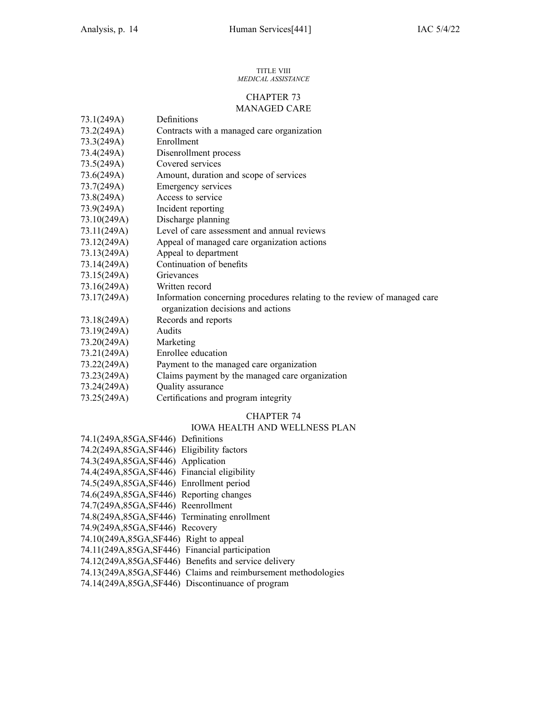#### TITLE VIII *MEDICAL ASSISTANCE*

### CHAPTER 73 MANAGED CARE

| 73.1(249A)  | Definitions                                                              |
|-------------|--------------------------------------------------------------------------|
| 73.2(249A)  | Contracts with a managed care organization                               |
| 73.3(249A)  | Enrollment                                                               |
| 73.4(249A)  | Disenrollment process                                                    |
| 73.5(249A)  | Covered services                                                         |
| 73.6(249A)  | Amount, duration and scope of services                                   |
| 73.7(249A)  | Emergency services                                                       |
| 73.8(249A)  | Access to service                                                        |
| 73.9(249A)  | Incident reporting                                                       |
| 73.10(249A) | Discharge planning                                                       |
| 73.11(249A) | Level of care assessment and annual reviews                              |
| 73.12(249A) | Appeal of managed care organization actions                              |
| 73.13(249A) | Appeal to department                                                     |
| 73.14(249A) | Continuation of benefits                                                 |
| 73.15(249A) | Grievances                                                               |
| 73.16(249A) | Written record                                                           |
| 73.17(249A) | Information concerning procedures relating to the review of managed care |
|             | organization decisions and actions                                       |
| 73.18(249A) | Records and reports                                                      |
| 73.19(249A) | Audits                                                                   |
| 73.20(249A) | Marketing                                                                |
| 73.21(249A) | Enrollee education                                                       |
| 73.22(249A) | Payment to the managed care organization                                 |
| 73.23(249A) | Claims payment by the managed care organization                          |
| 73.24(249A) | Quality assurance                                                        |
| 73.25(249A) | Certifications and program integrity                                     |

### CHAPTER 74

### IOWA HEALTH AND WELLNESS PLAN

| 74.1(249A,85GA,SF446) Definitions                             |
|---------------------------------------------------------------|
| 74.2(249A,85GA,SF446) Eligibility factors                     |
| 74.3(249A,85GA,SF446) Application                             |
| 74.4(249A,85GA,SF446) Financial eligibility                   |
| 74.5(249A,85GA,SF446) Enrollment period                       |
| 74.6(249A,85GA,SF446) Reporting changes                       |
| 74.7(249A,85GA,SF446) Reenrollment                            |
| 74.8(249A,85GA,SF446) Terminating enrollment                  |
| 74.9(249A, 85GA, SF446) Recovery                              |
| 74.10(249A,85GA,SF446) Right to appeal                        |
| 74.11(249A,85GA,SF446) Financial participation                |
| 74.12(249A,85GA,SF446) Benefits and service delivery          |
| 74.13(249A,85GA,SF446) Claims and reimbursement methodologies |
| 74.14(249A,85GA,SF446) Discontinuance of program              |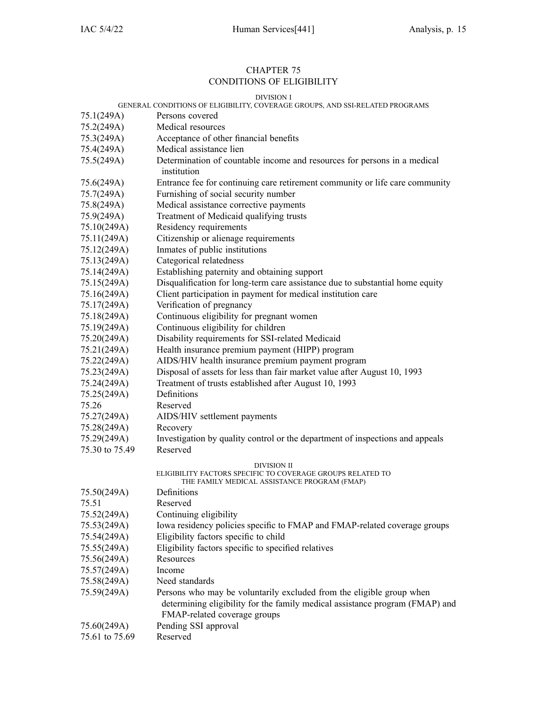### CHAPTER 75 CONDITIONS OF ELIGIBILITY

|                | DIVISION I<br>GENERAL CONDITIONS OF ELIGIBILITY, COVERAGE GROUPS, AND SSI-RELATED PROGRAMS                                                                                           |
|----------------|--------------------------------------------------------------------------------------------------------------------------------------------------------------------------------------|
| 75.1(249A)     | Persons covered                                                                                                                                                                      |
| 75.2(249A)     | Medical resources                                                                                                                                                                    |
| 75.3(249A)     | Acceptance of other financial benefits                                                                                                                                               |
| 75.4(249A)     | Medical assistance lien                                                                                                                                                              |
| 75.5(249A)     | Determination of countable income and resources for persons in a medical                                                                                                             |
|                | institution                                                                                                                                                                          |
| 75.6(249A)     | Entrance fee for continuing care retirement community or life care community                                                                                                         |
| 75.7(249A)     | Furnishing of social security number                                                                                                                                                 |
| 75.8(249A)     | Medical assistance corrective payments                                                                                                                                               |
| 75.9(249A)     | Treatment of Medicaid qualifying trusts                                                                                                                                              |
| 75.10(249A)    | Residency requirements                                                                                                                                                               |
| 75.11(249A)    | Citizenship or alienage requirements                                                                                                                                                 |
| 75.12(249A)    | Inmates of public institutions                                                                                                                                                       |
| 75.13(249A)    | Categorical relatedness                                                                                                                                                              |
| 75.14(249A)    | Establishing paternity and obtaining support                                                                                                                                         |
| 75.15(249A)    | Disqualification for long-term care assistance due to substantial home equity                                                                                                        |
| 75.16(249A)    | Client participation in payment for medical institution care                                                                                                                         |
| 75.17(249A)    | Verification of pregnancy                                                                                                                                                            |
| 75.18(249A)    | Continuous eligibility for pregnant women                                                                                                                                            |
| 75.19(249A)    | Continuous eligibility for children                                                                                                                                                  |
| 75.20(249A)    | Disability requirements for SSI-related Medicaid                                                                                                                                     |
| 75.21(249A)    | Health insurance premium payment (HIPP) program                                                                                                                                      |
| 75.22(249A)    | AIDS/HIV health insurance premium payment program                                                                                                                                    |
| 75.23(249A)    | Disposal of assets for less than fair market value after August 10, 1993                                                                                                             |
| 75.24(249A)    | Treatment of trusts established after August 10, 1993                                                                                                                                |
| 75.25(249A)    | Definitions                                                                                                                                                                          |
| 75.26          | Reserved                                                                                                                                                                             |
| 75.27(249A)    | AIDS/HIV settlement payments                                                                                                                                                         |
| 75.28(249A)    | Recovery                                                                                                                                                                             |
| 75.29(249A)    | Investigation by quality control or the department of inspections and appeals                                                                                                        |
| 75.30 to 75.49 | Reserved                                                                                                                                                                             |
|                | DIVISION II                                                                                                                                                                          |
|                | ELIGIBILITY FACTORS SPECIFIC TO COVERAGE GROUPS RELATED TO<br>THE FAMILY MEDICAL ASSISTANCE PROGRAM (FMAP)                                                                           |
| 75.50(249A)    | Definitions                                                                                                                                                                          |
| 75.51          | Reserved                                                                                                                                                                             |
| 75.52(249A)    | Continuing eligibility                                                                                                                                                               |
| 75.53(249A)    | Iowa residency policies specific to FMAP and FMAP-related coverage groups                                                                                                            |
| 75.54(249A)    | Eligibility factors specific to child                                                                                                                                                |
| 75.55(249A)    | Eligibility factors specific to specified relatives                                                                                                                                  |
| 75.56(249A)    | Resources                                                                                                                                                                            |
| 75.57(249A)    | Income                                                                                                                                                                               |
| 75.58(249A)    | Need standards                                                                                                                                                                       |
| 75.59(249A)    | Persons who may be voluntarily excluded from the eligible group when<br>determining eligibility for the family medical assistance program (FMAP) and<br>FMAP-related coverage groups |
| 75.60(249A)    | Pending SSI approval                                                                                                                                                                 |
| 75.61 to 75.69 | Reserved                                                                                                                                                                             |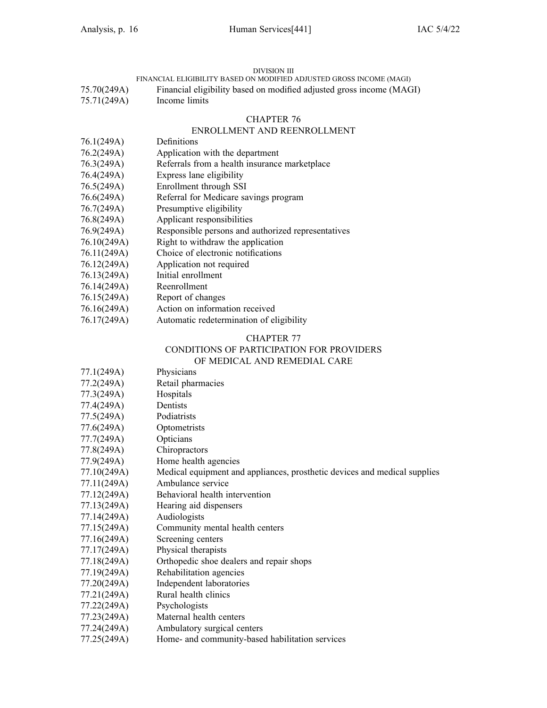### DIVISION III

FINANCIAL ELIGIBILITY BASED ON MODIFIED ADJUSTED GROSS INCOME (MAGI)

- 75.70(249A) Financial eligibility based on modified adjusted gross income (MAGI)
- 75.71(249A) Income limits

### CHAPTER 76

### ENROLLMENT AND REENROLLMENT

### 76.1(249A) Definitions

- 76.2(249A) Application with the department
- 76.3(249A) Referrals from <sup>a</sup> health insurance marketplace
- 76.4(249A) Express lane eligibility
- 76.5(249A) Enrollment through SSI
- 76.6(249A) Referral for Medicare savings program
- 76.7(249A) Presumptive eligibility
- 76.8(249A) Applicant responsibilities
- 76.9(249A) Responsible persons and authorized representatives
- 76.10(249A) Right to withdraw the application
- 76.11(249A) Choice of electronic notifications
- 76.12(249A) Application not required
- 76.13(249A) Initial enrollment
- 76.14(249A) Reenrollment
- 76.15(249A) Report of changes
- 76.16(249A) Action on information received
- 76.17(249A) Automatic redetermination of eligibility

### CHAPTER 77

### CONDITIONS OF PARTICIPATION FOR PROVIDERS

#### OF MEDICAL AND REMEDIAL CARE

- 77.1(249A) Physicians
- 77.2(249A) Retail pharmacies
- 77.3(249A) Hospitals
- 77.4(249A) Dentists
- 77.5(249A) Podiatrists
- 77.6(249A) Optometrists
- 77.7(249A) Opticians
- 77.8(249A) Chiropractors
- 77.9(249A) Home health agencies
- 77.10(249A) Medical equipment and appliances, prosthetic devices and medical supplies
- 77.11(249A) Ambulance service
- 77.12(249A) Behavioral health intervention
- 77.13(249A) Hearing aid dispensers
- 77.14(249A) Audiologists
- 77.15(249A) Community mental health centers
- 77.16(249A) Screening centers
- 77.17(249A) Physical therapists
- 77.18(249A) Orthopedic shoe dealers and repair shops
- 77.19(249A) Rehabilitation agencies
- 77.20(249A) Independent laboratories
- 77.21(249A) Rural health clinics
- 77.22(249A) Psychologists
- 77.23(249A) Maternal health centers
- 77.24(249A) Ambulatory surgical centers
- 77.25(249A) Home- and community-based habilitation services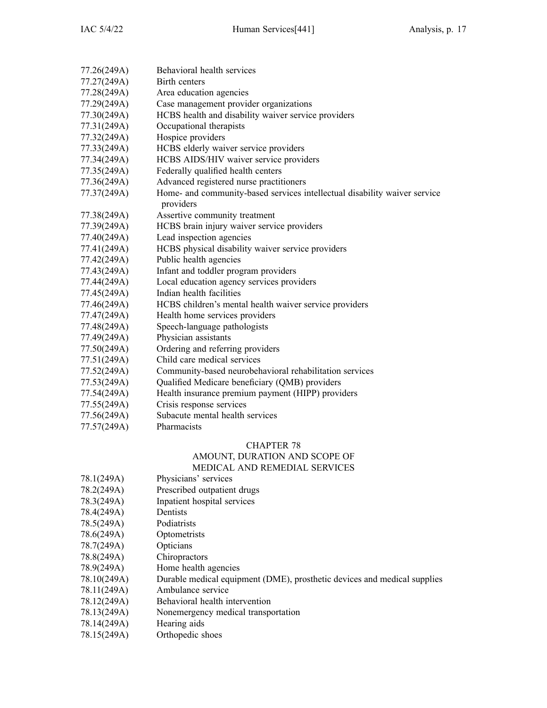| 77.26(249A) | Behavioral health services                                                |
|-------------|---------------------------------------------------------------------------|
| 77.27(249A) | Birth centers                                                             |
| 77.28(249A) | Area education agencies                                                   |
| 77.29(249A) | Case management provider organizations                                    |
| 77.30(249A) | HCBS health and disability waiver service providers                       |
| 77.31(249A) | Occupational therapists                                                   |
| 77.32(249A) | Hospice providers                                                         |
| 77.33(249A) | HCBS elderly waiver service providers                                     |
| 77.34(249A) | HCBS AIDS/HIV waiver service providers                                    |
| 77.35(249A) | Federally qualified health centers                                        |
| 77.36(249A) | Advanced registered nurse practitioners                                   |
| 77.37(249A) | Home- and community-based services intellectual disability waiver service |
|             | providers                                                                 |
| 77.38(249A) | Assertive community treatment                                             |
| 77.39(249A) | HCBS brain injury waiver service providers                                |
| 77.40(249A) | Lead inspection agencies                                                  |
| 77.41(249A) | HCBS physical disability waiver service providers                         |
| 77.42(249A) | Public health agencies                                                    |
| 77.43(249A) | Infant and toddler program providers                                      |
| 77.44(249A) | Local education agency services providers                                 |
| 77.45(249A) | Indian health facilities                                                  |
| 77.46(249A) | HCBS children's mental health waiver service providers                    |
| 77.47(249A) | Health home services providers                                            |
| 77.48(249A) | Speech-language pathologists                                              |
| 77.49(249A) | Physician assistants                                                      |
| 77.50(249A) | Ordering and referring providers                                          |
| 77.51(249A) | Child care medical services                                               |
| 77.52(249A) | Community-based neurobehavioral rehabilitation services                   |
| 77.53(249A) | Qualified Medicare beneficiary (QMB) providers                            |
| 77.54(249A) | Health insurance premium payment (HIPP) providers                         |
| 77.55(249A) | Crisis response services                                                  |
| 77.56(249A) | Subacute mental health services                                           |
| 77.57(249A) | Pharmacists                                                               |

### AMOUNT, DURATION AND SCOPE OF MEDICAL AND REMEDIAL SERVICES

| 78.1(249A) | Physicians' services |
|------------|----------------------|
|            |                      |
|            |                      |
|            |                      |

- 78.2(249A) Prescribed outpatient drugs
- 78.3(249A) Inpatient hospital services
- 78.4(249A) Dentists
- 78.5(249A) Podiatrists
- 78.6(249A) Optometrists
- 78.7(249A) Opticians
- 78.8(249A) Chiropractors
- 78.9(249A) Home health agencies
- 78.10(249A) Durable medical equipment (DME), prosthetic devices and medical supplies
- 78.11(249A) Ambulance service
- 78.12(249A) Behavioral health intervention
- 78.13(249A) Nonemergency medical transportation
- 78.14(249A) Hearing aids
- 78.15(249A) Orthopedic shoes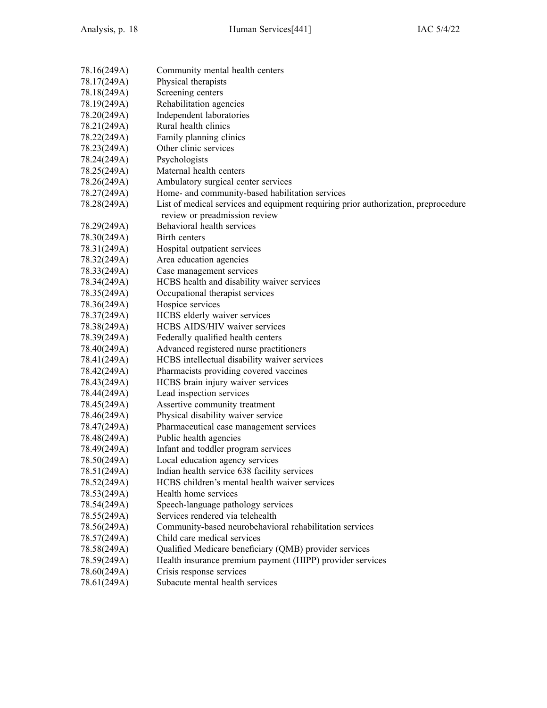| 78.16(249A) | Community mental health centers                                                    |
|-------------|------------------------------------------------------------------------------------|
| 78.17(249A) | Physical therapists                                                                |
| 78.18(249A) | Screening centers                                                                  |
| 78.19(249A) | Rehabilitation agencies                                                            |
| 78.20(249A) | Independent laboratories                                                           |
| 78.21(249A) | Rural health clinics                                                               |
| 78.22(249A) | Family planning clinics                                                            |
| 78.23(249A) | Other clinic services                                                              |
| 78.24(249A) | Psychologists                                                                      |
| 78.25(249A) | Maternal health centers                                                            |
| 78.26(249A) | Ambulatory surgical center services                                                |
| 78.27(249A) | Home- and community-based habilitation services                                    |
| 78.28(249A) | List of medical services and equipment requiring prior authorization, preprocedure |
|             | review or preadmission review                                                      |
| 78.29(249A) | Behavioral health services                                                         |
| 78.30(249A) | Birth centers                                                                      |
| 78.31(249A) | Hospital outpatient services                                                       |
| 78.32(249A) | Area education agencies                                                            |
| 78.33(249A) | Case management services                                                           |
| 78.34(249A) | HCBS health and disability waiver services                                         |
| 78.35(249A) | Occupational therapist services                                                    |
| 78.36(249A) | Hospice services                                                                   |
| 78.37(249A) | HCBS elderly waiver services                                                       |
| 78.38(249A) | HCBS AIDS/HIV waiver services                                                      |
| 78.39(249A) | Federally qualified health centers                                                 |
| 78.40(249A) | Advanced registered nurse practitioners                                            |
| 78.41(249A) | HCBS intellectual disability waiver services                                       |
| 78.42(249A) | Pharmacists providing covered vaccines                                             |
| 78.43(249A) | HCBS brain injury waiver services                                                  |
| 78.44(249A) | Lead inspection services                                                           |
| 78.45(249A) | Assertive community treatment                                                      |
| 78.46(249A) | Physical disability waiver service                                                 |
| 78.47(249A) | Pharmaceutical case management services                                            |
| 78.48(249A) | Public health agencies                                                             |
| 78.49(249A) | Infant and toddler program services                                                |
| 78.50(249A) | Local education agency services                                                    |
| 78.51(249A) | Indian health service 638 facility services                                        |
| 78.52(249A) | HCBS children's mental health waiver services                                      |
| 78.53(249A) | Health home services                                                               |
| 78.54(249A) | Speech-language pathology services                                                 |
| 78.55(249A) | Services rendered via telehealth                                                   |
| 78.56(249A) | Community-based neurobehavioral rehabilitation services                            |
| 78.57(249A) | Child care medical services                                                        |
| 78.58(249A) | Qualified Medicare beneficiary (QMB) provider services                             |
| 78.59(249A) | Health insurance premium payment (HIPP) provider services                          |
| 78.60(249A) | Crisis response services                                                           |
| 78.61(249A) | Subacute mental health services                                                    |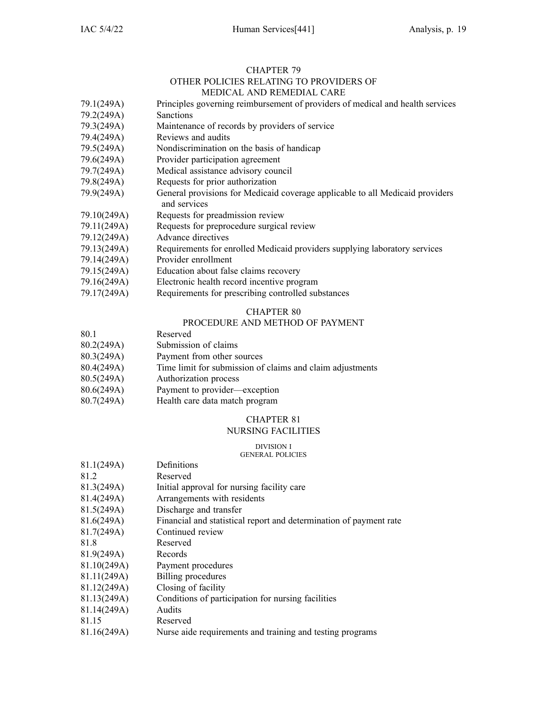### CHAPTER 79 OTHER POLICIES RELATING TO PROVIDERS OF MEDICAL AND REMEDIAL CARE

|             | NEDICAL AND REMEDIAL CARE                                                                     |
|-------------|-----------------------------------------------------------------------------------------------|
| 79.1(249A)  | Principles governing reimbursement of providers of medical and health services                |
| 79.2(249A)  | <b>Sanctions</b>                                                                              |
| 79.3(249A)  | Maintenance of records by providers of service                                                |
| 79.4(249A)  | Reviews and audits                                                                            |
| 79.5(249A)  | Nondiscrimination on the basis of handicap                                                    |
| 79.6(249A)  | Provider participation agreement                                                              |
| 79.7(249A)  | Medical assistance advisory council                                                           |
| 79.8(249A)  | Requests for prior authorization                                                              |
| 79.9(249A)  | General provisions for Medicaid coverage applicable to all Medicaid providers<br>and services |
| 79.10(249A) | Requests for preadmission review                                                              |
| 79.11(249A) | Requests for preprocedure surgical review                                                     |
| 79.12(249A) | Advance directives                                                                            |
| 79.13(249A) | Requirements for enrolled Medicaid providers supplying laboratory services                    |
| 79.14(249A) | Provider enrollment                                                                           |
| 79.15(249A) | Education about false claims recovery                                                         |
| 79.16(249A) | Electronic health record incentive program                                                    |

79.17(249A) Requirements for prescribing controlled substances

### CHAPTER 80

### PROCEDURE AND METHOD OF PAYMENT

- 80.1 Reserved
- 80.2(249A) Submission of claims
- 80.3(249A) Payment from other sources
- 80.4(249A) Time limit for submission of claims and claim adjustments
- 80.5(249A) Authorization process
- 80.6(249A) Payment to provider—exception
- 80.7(249A) Health care data match program

### CHAPTER 81

### NURSING FACILITIES

### DIVISION I

### GENERAL POLICIES

| 81.1(249A)  | Definitions                                                        |
|-------------|--------------------------------------------------------------------|
| 81.2        | Reserved                                                           |
| 81.3(249A)  | Initial approval for nursing facility care                         |
| 81.4(249A)  | Arrangements with residents                                        |
| 81.5(249A)  | Discharge and transfer                                             |
| 81.6(249A)  | Financial and statistical report and determination of payment rate |
| 81.7(249A)  | Continued review                                                   |
| 81.8        | Reserved                                                           |
| 81.9(249A)  | Records                                                            |
| 81.10(249A) | Payment procedures                                                 |
| 81.11(249A) | Billing procedures                                                 |
| 81.12(249A) | Closing of facility                                                |
| 81.13(249A) | Conditions of participation for nursing facilities                 |
| 81.14(249A) | Audits                                                             |
| 81.15       | Reserved                                                           |
| 81.16(249A) | Nurse aide requirements and training and testing programs          |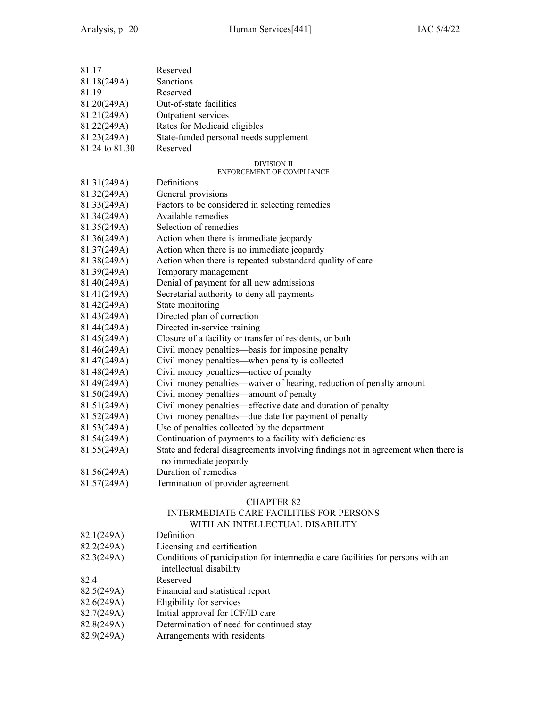| 81.17                      | Reserved                                                                           |
|----------------------------|------------------------------------------------------------------------------------|
| 81.18(249A)                | Sanctions                                                                          |
| 81.19                      | Reserved                                                                           |
| 81.20(249A)                | Out-of-state facilities                                                            |
| 81.21(249A)                | Outpatient services                                                                |
| 81.22(249A)                | Rates for Medicaid eligibles                                                       |
| 81.23(249A)                | State-funded personal needs supplement                                             |
| 81.24 to 81.30             | Reserved                                                                           |
|                            | DIVISION II<br>ENFORCEMENT OF COMPLIANCE                                           |
| 81.31(249A)                | Definitions                                                                        |
| 81.32(249A)                | General provisions                                                                 |
| 81.33(249A)                | Factors to be considered in selecting remedies                                     |
| 81.34(249A)                | Available remedies                                                                 |
| 81.35(249A)                | Selection of remedies                                                              |
| 81.36(249A)                | Action when there is immediate jeopardy                                            |
| 81.37(249A)                | Action when there is no immediate jeopardy                                         |
| 81.38(249A)                | Action when there is repeated substandard quality of care                          |
| 81.39(249A)                | Temporary management                                                               |
| 81.40(249A)                | Denial of payment for all new admissions                                           |
| 81.41(249A)                | Secretarial authority to deny all payments                                         |
| 81.42(249A)                | State monitoring                                                                   |
| 81.43(249A)                | Directed plan of correction                                                        |
| 81.44(249A)                | Directed in-service training                                                       |
| 81.45(249A)                | Closure of a facility or transfer of residents, or both                            |
| 81.46(249A)                | Civil money penalties—basis for imposing penalty                                   |
| 81.47(249A)                | Civil money penalties—when penalty is collected                                    |
| 81.48(249A)                | Civil money penalties—notice of penalty                                            |
| 81.49(249A)                | Civil money penalties—waiver of hearing, reduction of penalty amount               |
| 81.50(249A)                | Civil money penalties—amount of penalty                                            |
|                            | Civil money penalties—effective date and duration of penalty                       |
| 81.51(249A)<br>81.52(249A) | Civil money penalties—due date for payment of penalty                              |
| 81.53(249A)                | Use of penalties collected by the department                                       |
| 81.54(249A)                | Continuation of payments to a facility with deficiencies                           |
| 81.55(249A)                | State and federal disagreements involving findings not in agreement when there is  |
|                            | no immediate jeopardy                                                              |
| 81.56(249A)                | Duration of remedies                                                               |
| 81.57(249A)                | Termination of provider agreement                                                  |
|                            |                                                                                    |
|                            | <b>CHAPTER 82</b>                                                                  |
|                            | <b>INTERMEDIATE CARE FACILITIES FOR PERSONS</b><br>WITH AN INTELLECTUAL DISABILITY |
| 82.1(249A)                 | Definition                                                                         |
| 82.2(249A)                 | Licensing and certification                                                        |
| 82.3(249A)                 | Conditions of participation for intermediate care facilities for persons with an   |
|                            | intellectual disability                                                            |
| 82.4                       | Reserved                                                                           |
| 82.5(249A)                 | Financial and statistical report                                                   |
| 82.6(249A)                 | Eligibility for services                                                           |
| 82.7(249A)                 | Initial approval for ICF/ID care                                                   |
| 82.8(249A)                 | Determination of need for continued stay                                           |
| 82.9(249A)                 | Arrangements with residents                                                        |
|                            |                                                                                    |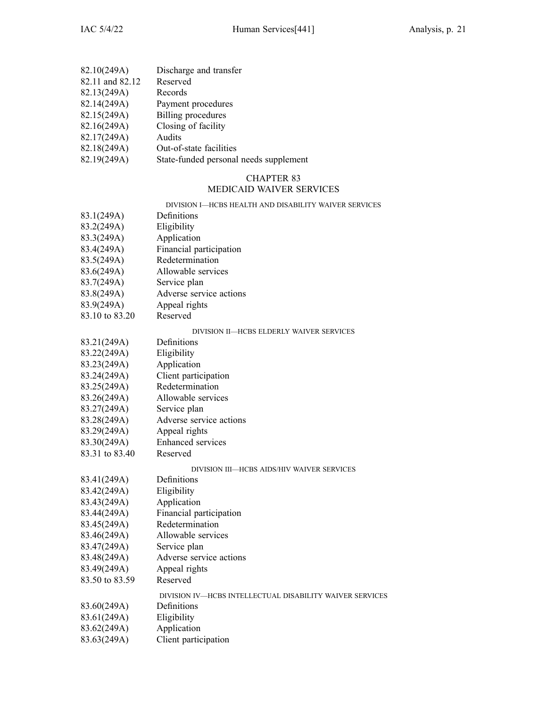- 82.10(249A) Discharge and transfer<br>82.11 and 82.12 Reserved
- 82.11 and 82.12
- 82.13(249A) Records<br>82.14(249A) Payment
- 82.14(249A) Payment procedures<br>82.15(249A) Billing procedures
- Billing procedures
- $82.16(249A)$  Closing of facility<br> $82.17(249A)$  Audits
- 82.17(249A)<br>82.18(249A)
- Out-of-state facilities
- 82.19(249A) State-funded personal needs supplement

### MEDICAID WAIVER SERVICES

|                | DIVISION I—HCBS HEALTH AND DISABILITY WAIVER SERVICES    |
|----------------|----------------------------------------------------------|
| 83.1(249A)     | Definitions                                              |
| 83.2(249A)     | Eligibility                                              |
| 83.3(249A)     | Application                                              |
| 83.4(249A)     | Financial participation                                  |
| 83.5(249A)     | Redetermination                                          |
| 83.6(249A)     | Allowable services                                       |
| 83.7(249A)     | Service plan                                             |
| 83.8(249A)     | Adverse service actions                                  |
| 83.9(249A)     | Appeal rights                                            |
| 83.10 to 83.20 | Reserved                                                 |
|                | DIVISION II-HCBS ELDERLY WAIVER SERVICES                 |
| 83.21(249A)    | Definitions                                              |
| 83.22(249A)    | Eligibility                                              |
| 83.23(249A)    | Application                                              |
| 83.24(249A)    | Client participation                                     |
| 83.25(249A)    | Redetermination                                          |
| 83.26(249A)    | Allowable services                                       |
| 83.27(249A)    | Service plan                                             |
| 83.28(249A)    | Adverse service actions                                  |
| 83.29(249A)    | Appeal rights                                            |
| 83.30(249A)    | Enhanced services                                        |
| 83.31 to 83.40 | Reserved                                                 |
|                | DIVISION III—HCBS AIDS/HIV WAIVER SERVICES               |
| 83.41(249A)    | Definitions                                              |
| 83.42(249A)    | Eligibility                                              |
| 83.43(249A)    | Application                                              |
| 83.44(249A)    | Financial participation                                  |
| 83.45(249A)    | Redetermination                                          |
| 83.46(249A)    | Allowable services                                       |
| 83.47(249A)    | Service plan                                             |
| 83.48(249A)    | Adverse service actions                                  |
| 83.49(249A)    | Appeal rights                                            |
| 83.50 to 83.59 | Reserved                                                 |
|                | DIVISION IV-HCBS INTELLECTUAL DISABILITY WAIVER SERVICES |
| 83.60(249A)    | Definitions                                              |
| 83.61(249A)    | Eligibility                                              |
| 83.62(249A)    | Application                                              |
| 83.63(249A)    | Client participation                                     |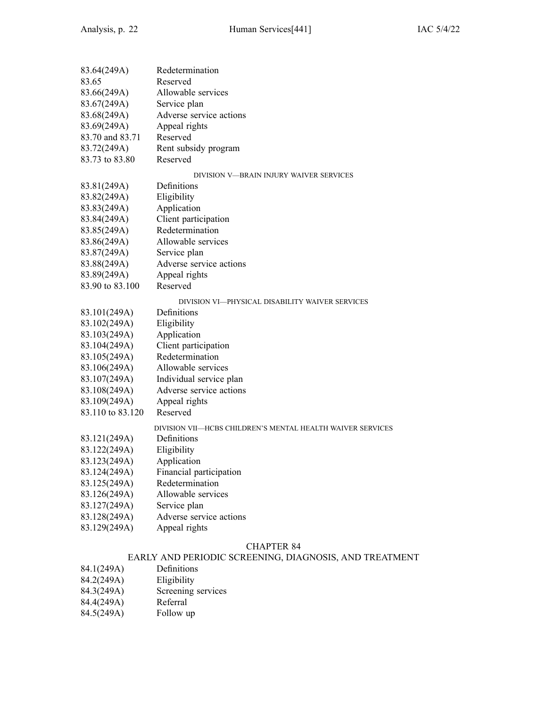| 83.64(249A)      | Redetermination                                            |
|------------------|------------------------------------------------------------|
| 83.65            | Reserved                                                   |
| 83.66(249A)      | Allowable services                                         |
| 83.67(249A)      | Service plan                                               |
| 83.68(249A)      | Adverse service actions                                    |
| 83.69(249A)      | Appeal rights                                              |
| 83.70 and 83.71  | Reserved                                                   |
| 83.72(249A)      | Rent subsidy program                                       |
| 83.73 to 83.80   | Reserved                                                   |
|                  | DIVISION V-BRAIN INJURY WAIVER SERVICES                    |
| 83.81(249A)      | Definitions                                                |
| 83.82(249A)      | Eligibility                                                |
| 83.83(249A)      | Application                                                |
| 83.84(249A)      | Client participation                                       |
| 83.85(249A)      | Redetermination                                            |
| 83.86(249A)      | Allowable services                                         |
| 83.87(249A)      | Service plan                                               |
| 83.88(249A)      | Adverse service actions                                    |
| 83.89(249A)      | Appeal rights                                              |
| 83.90 to 83.100  | Reserved                                                   |
|                  | DIVISION VI-PHYSICAL DISABILITY WAIVER SERVICES            |
| 83.101(249A)     | Definitions                                                |
| 83.102(249A)     | Eligibility                                                |
| 83.103(249A)     | Application                                                |
| 83.104(249A)     | Client participation                                       |
| 83.105(249A)     | Redetermination                                            |
| 83.106(249A)     | Allowable services                                         |
| 83.107(249A)     | Individual service plan                                    |
| 83.108(249A)     | Adverse service actions                                    |
| 83.109(249A)     | Appeal rights                                              |
| 83.110 to 83.120 | Reserved                                                   |
|                  | DIVISION VII—HCBS CHILDREN'S MENTAL HEALTH WAIVER SERVICES |
| 83.121(249A)     | Definitions                                                |
| 83.122(249A)     | Eligibility                                                |
| 83.123(249A)     | Application                                                |
| 83.124(249A)     | Financial participation                                    |
| 83.125(249A)     | Redetermination                                            |
| 83.126(249A)     | Allowable services                                         |
| 83.127(249A)     | Service plan                                               |
| 83.128(249A)     | Adverse service actions                                    |
| 83.129(249A)     | Appeal rights                                              |
|                  |                                                            |

# EARLY AND PERIODIC SCREENING, DIAGNOSIS, AND TREATMENT

- 84.1(249A)
- 84.2(249A)
- 84.2(249A) Eligibility<br>84.3(249A) Screening services<br>84.4(249A) Referral
- 
- 84.4(249A) Referral<br>84.5(249A) Follow up  $84.5(249A)$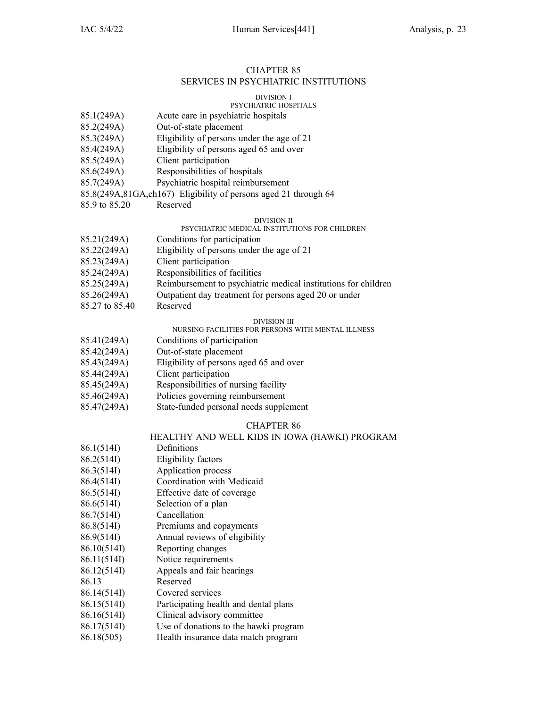### CHAPTER 85 SERVICES IN PSYCHIATRIC INSTITUTIONS

#### DIVISION I

### PSYCHIATRIC HOSPITALS

- 85.1(249A) Acute care in psychiatric hospitals
- 85.2(249A) Out-of-state placement
- 85.3(249A) Eligibility of persons under the age of 21
- 85.4(249A) Eligibility of persons aged 65 and over
- 85.5(249A) Client participation
- 85.6(249A) Responsibilities of hospitals
- 85.7(249A) Psychiatric hospital reimbursement
- 85.8(249A,81GA,ch167) Eligibility of persons aged 21 through 64
- 85.9 to 85.20 Reserved

### DIVISION II

#### PSYCHIATRIC MEDICAL INSTITUTIONS FOR CHILDREN

- 85.21(249A) Conditions for participation 85.22(249A) Eligibility of persons under the age of 21 85.23(249A) Client participation 85.24(249A) Responsibilities of facilities 85.25(249A) Reimbursement to psychiatric medical institutions for children 85.26(249A) Outpatient day treatment for persons aged 20 or under
- 85.27 to 85.40 Reserved

#### DIVISION III

### NURSING FACILITIES FOR PERSONS WITH MENTAL ILLNESS

- 85.41(249A) Conditions of participation
- 85.42(249A) Out-of-state placement
- 85.43(249A) Eligibility of persons aged 65 and over
- 85.44(249A) Client participation
- 85.45(249A) Responsibilities of nursing facility
- 85.46(249A) Policies governing reimbursement
- 85.47(249A) State-funded personal needs supplement

#### CHAPTER 86

### HEALTHY AND WELL KIDS IN IOWA (HAWKI) PROGRAM

- 86.1(514I) Definitions
- 86.2(514I) Eligibility factors
- 86.3(514I) Application process
- 86.4(514I) Coordination with Medicaid
- 86.5(514I) Effective date of coverage
- 86.6(514I) Selection of <sup>a</sup> plan
- 86.7(514I) Cancellation
- 86.8(514I) Premiums and copayments
- 86.9(514I) Annual reviews of eligibility
- 86.10(514I) Reporting changes
- 86.11(514I) Notice requirements
- 86.12(514I) Appeals and fair hearings
- 86.13 Reserved
- 86.14(514I) Covered services
- 86.15(514I) Participating health and dental plans
- 86.16(514I) Clinical advisory committee
- 86.17(514I) Use of donations to the hawki program
- 86.18(505) Health insurance data match program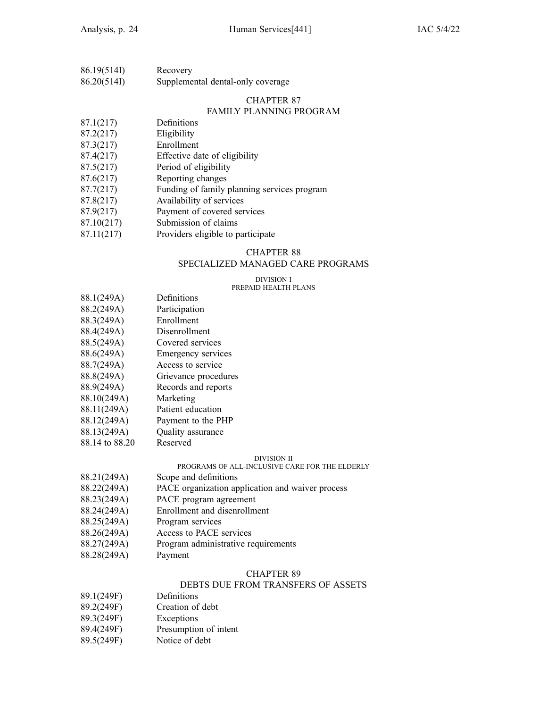| 86.19(514I) | Recovery                          |
|-------------|-----------------------------------|
| 86.20(514I) | Supplemental dental-only coverage |

### FAMILY PLANNING PROGRAM

- 87.1(217) Definitions
- 87.2(217) Eligibility
- 87.3(217) Enrollment
- 87.4(217) Effective date of eligibility
- 87.5(217) Period of eligibility
- 87.6(217) Reporting changes
- 87.7(217) Funding of family planning services program
- 87.8(217) Availability of services
- 87.9(217) Payment of covered services
- 87.10(217) Submission of claims
- 87.11(217) Providers eligible to participate

### CHAPTER 88

### SPECIALIZED MANAGED CARE PROGRAMS

#### DIVISION I PREPAID HEALTH PLANS

- 88.1(249A) Definitions
- 88.2(249A) Participation
- 88.3(249A) Enrollment
- 88.4(249A) Disenrollment
- 88.5(249A) Covered services
- 88.6(249A) Emergency services
- 88.7(249A) Access to service
- 88.8(249A) Grievance procedures
- 88.9(249A) Records and reports
- 88.10(249A) Marketing
- 88.11(249A) Patient education
- 88.12(249A) Payment to the PHP
- 88.13(249A) Quality assurance
- 88.14 to 88.20 Reserved

#### DIVISION II

### PROGRAMS OF ALL-INCLUSIVE CARE FOR THE ELDERLY

- 88.21(249A) Scope and definitions
- 88.22(249A) PACE organization application and waiver process
- 88.23(249A) PACE program agreemen<sup>t</sup>
- 88.24(249A) Enrollment and disenrollment
- 88.25(249A) Program services
- 88.26(249A) Access to PACE services
- 88.27(249A) Program administrative requirements
- 88.28(249A) Payment

#### CHAPTER 89

### DEBTS DUE FROM TRANSFERS OF ASSETS

- 89.1(249F) Definitions
- 89.2(249F) Creation of debt
- 89.3(249F) Exceptions
- 89.4(249F) Presumption of intent
- 89.5(249F) Notice of debt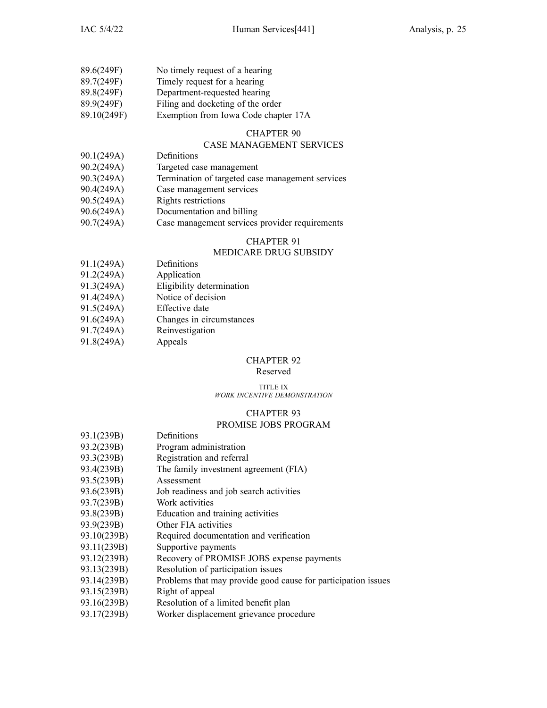| 89.6(249F)  | No timely request of a hearing       |
|-------------|--------------------------------------|
| 89.7(249F)  | Timely request for a hearing         |
| 89.8(249F)  | Department-requested hearing         |
| 89.9(249F)  | Filing and docketing of the order    |
| 89.10(249F) | Exemption from Iowa Code chapter 17A |

### CASE MANAGEMENT SERVICES

- 90.1(249A) Definitions
- 90.2(249A) Targeted case managemen<sup>t</sup>
- 90.3(249A) Termination of targeted case managemen<sup>t</sup> services
- 90.4(249A) Case managemen<sup>t</sup> services
- 90.5(249A) Rights restrictions
- 90.6(249A) Documentation and billing
- 90.7(249A) Case managemen<sup>t</sup> services provider requirements

### CHAPTER 91

### MEDICARE DRUG SUBSIDY

- 91.1(249A) Definitions
- 91.2(249A) Application
- 91.3(249A) Eligibility determination
- 91.4(249A) Notice of decision
- 91.5(249A) Effective date
- 91.6(249A) Changes in circumstances
- 91.7(249A) Reinvestigation
- 91.8(249A) Appeals

### CHAPTER 92

### Reserved

#### TITLE IX *WORK INCENTIVE DEMONSTRATION*

#### CHAPTER 93

#### PROMISE JOBS PROGRAM

| 93.1(239B)  | Definitions                                                   |
|-------------|---------------------------------------------------------------|
| 93.2(239B)  | Program administration                                        |
| 93.3(239B)  | Registration and referral                                     |
| 93.4(239B)  | The family investment agreement (FIA)                         |
| 93.5(239B)  | Assessment                                                    |
| 93.6(239B)  | Job readiness and job search activities                       |
| 93.7(239B)  | Work activities                                               |
| 93.8(239B)  | Education and training activities                             |
| 93.9(239B)  | Other FIA activities                                          |
| 93.10(239B) | Required documentation and verification                       |
| 93.11(239B) | Supportive payments                                           |
| 93.12(239B) | Recovery of PROMISE JOBS expense payments                     |
| 93.13(239B) | Resolution of participation issues                            |
| 93.14(239B) | Problems that may provide good cause for participation issues |
| 93.15(239B) | Right of appeal                                               |
| 93.16(239B) | Resolution of a limited benefit plan                          |

93.17(239B) Worker displacement grievance procedure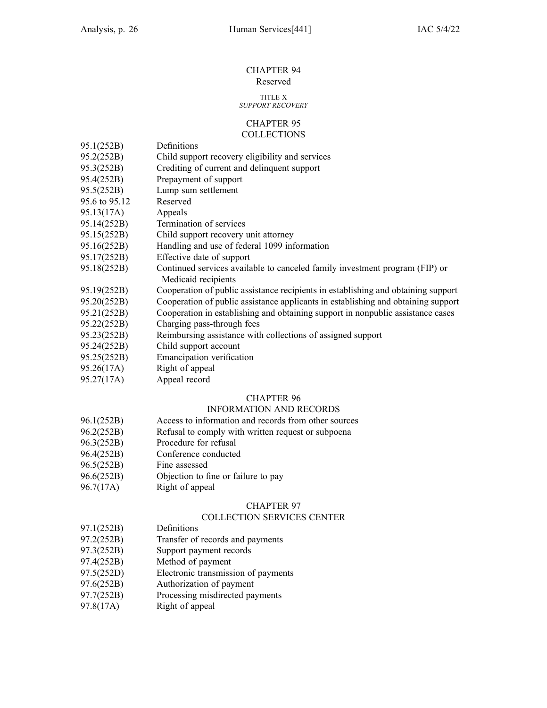#### CHAPTER 94 Reserved

### TITLE X

### *SUPPORT RECOVERY*

#### CHAPTER 95 **COLLECTIONS**

- 95.1(252B) Definitions
- 95.2(252B) Child suppor<sup>t</sup> recovery eligibility and services
- 95.3(252B) Crediting of current and delinquent suppor<sup>t</sup>
- 95.4(252B) Prepayment of suppor<sup>t</sup>
- 95.5(252B) Lump sum settlement
- 95.6 to 95.12 Reserved
- 95.13(17A) Appeals
- 95.14(252B) Termination of services
- 95.15(252B) Child suppor<sup>t</sup> recovery unit attorney
- 95.16(252B) Handling and use of federal 1099 information
- 95.17(252B) Effective date of suppor<sup>t</sup>
- 95.18(252B) Continued services available to canceled family investment program (FIP) or Medicaid recipients
- 95.19(252B) Cooperation of public assistance recipients in establishing and obtaining suppor<sup>t</sup>
- 95.20(252B) Cooperation of public assistance applicants in establishing and obtaining suppor<sup>t</sup>
- 95.21(252B) Cooperation in establishing and obtaining suppor<sup>t</sup> in nonpublic assistance cases
- 95.22(252B) Charging pass-through fees
- 95.23(252B) Reimbursing assistance with collections of assigned suppor<sup>t</sup>
- 95.24(252B) Child suppor<sup>t</sup> account
- 95.25(252B) Emancipation verification
- 95.26(17A) Right of appeal
- 95.27(17A) Appeal record

### CHAPTER 96

### INFORMATION AND RECORDS

- 96.1(252B) Access to information and records from other sources
- 96.2(252B) Refusal to comply with written reques<sup>t</sup> or subpoena
- 96.3(252B) Procedure for refusal
- 96.4(252B) Conference conducted
- 96.5(252B) Fine assessed
- 96.6(252B) Objection to fine or failure to pay
- 96.7(17A) Right of appeal

### CHAPTER 97

#### COLLECTION SERVICES CENTER

- 97.1(252B) Definitions
- 97.2(252B) Transfer of records and payments
- 97.3(252B) Support paymen<sup>t</sup> records
- 97.4(252B) Method of paymen<sup>t</sup>
- 97.5(252D) Electronic transmission of payments
- 97.6(252B) Authorization of paymen<sup>t</sup>
- 97.7(252B) Processing misdirected payments
- 97.8(17A) Right of appeal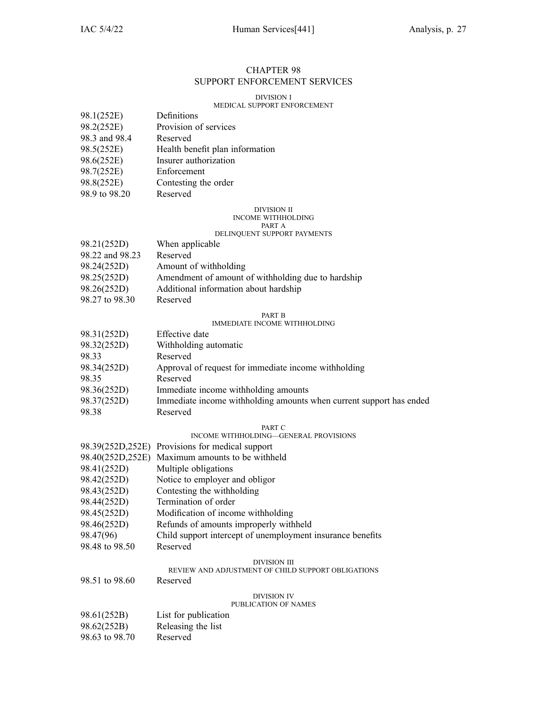### CHAPTER 98 SUPPORT ENFORCEMENT SERVICES

#### DIVISION I

### MEDICAL SUPPORT ENFORCEMENT

| 98.1(252E)    | Definitions                     |
|---------------|---------------------------------|
| 98.2(252E)    | Provision of services           |
| 98.3 and 98.4 | Reserved                        |
| 98.5(252E)    | Health benefit plan information |
| 98.6(252E)    | Insurer authorization           |
| 98.7(252E)    | Enforcement                     |
| 98.8(252E)    | Contesting the order            |
| 98.9 to 98.20 | Reserved                        |

#### DIVISION II INCOME WITHHOLDING PART A

### DELINQUENT SUPPORT PAYMENTS

| 98.21(252D)<br>When applicable<br>98.22 and 98.23<br>Reserved<br>98.24(252D)<br>Amount of withholding<br>98.25(252D)<br>98.26(252D)<br>Additional information about hardship<br>98.27 to 98.30<br>Reserved |                                                    |
|------------------------------------------------------------------------------------------------------------------------------------------------------------------------------------------------------------|----------------------------------------------------|
|                                                                                                                                                                                                            |                                                    |
|                                                                                                                                                                                                            |                                                    |
|                                                                                                                                                                                                            |                                                    |
|                                                                                                                                                                                                            | Amendment of amount of withholding due to hardship |
|                                                                                                                                                                                                            |                                                    |
|                                                                                                                                                                                                            |                                                    |

#### PART B

#### IMMEDIATE INCOME WITHHOLDING

| 98.31(252D) | Effective date                                                      |
|-------------|---------------------------------------------------------------------|
| 98.32(252D) | Withholding automatic                                               |
| 98.33       | Reserved                                                            |
| 98.34(252D) | Approval of request for immediate income withholding                |
| 98.35       | Reserved                                                            |
| 98.36(252D) | Immediate income withholding amounts                                |
| 98.37(252D) | Immediate income withholding amounts when current support has ended |
| 98.38       | Reserved                                                            |

#### PART C

#### INCOME WITHHOLDING—GENERAL PROVISIONS

|                  | 98.39(252D,252E) Provisions for medical support                    |  |
|------------------|--------------------------------------------------------------------|--|
| 98.40(252D,252E) | Maximum amounts to be withheld                                     |  |
| 98.41(252D)      | Multiple obligations                                               |  |
| 98.42(252D)      | Notice to employer and obligor                                     |  |
| 98.43(252D)      | Contesting the withholding                                         |  |
| 98.44(252D)      | Termination of order                                               |  |
| 98.45(252D)      | Modification of income withholding                                 |  |
| 98.46(252D)      | Refunds of amounts improperly withheld                             |  |
| 98.47(96)        | Child support intercept of unemployment insurance benefits         |  |
| 98.48 to 98.50   | Reserved                                                           |  |
|                  | DIVISION III<br>REVIEW AND ADJUSTMENT OF CHILD SUPPORT OBLIGATIONS |  |
| 98.51 to 98.60   | Reserved                                                           |  |
|                  | DIVISION IV                                                        |  |

#### PUBLICATION OF NAMES

| 98.61(252B)    | List for publication |
|----------------|----------------------|
| 98.62(252B)    | Releasing the list   |
| 98.63 to 98.70 | Reserved             |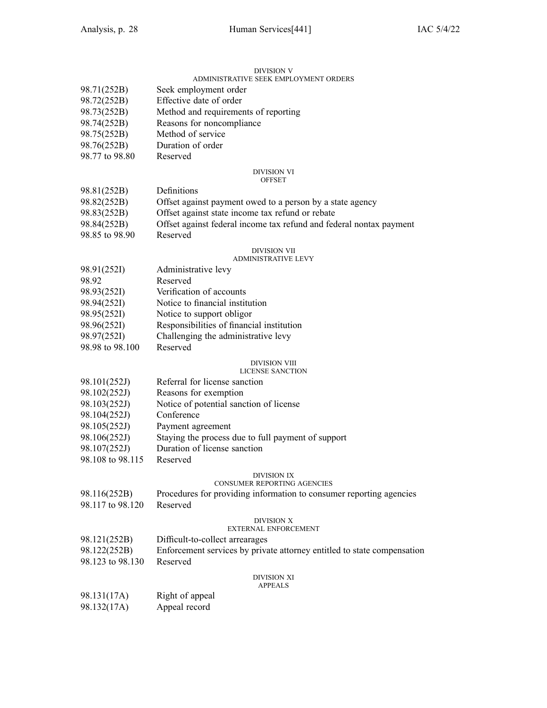#### DIVISION V ADMINISTRATIVE SEEK EMPLOYMENT ORDERS

| 98.71(252B)      | Seek employment order                                                   |
|------------------|-------------------------------------------------------------------------|
| 98.72(252B)      | Effective date of order                                                 |
| 98.73(252B)      | Method and requirements of reporting                                    |
| 98.74(252B)      | Reasons for noncompliance                                               |
| 98.75(252B)      | Method of service                                                       |
| 98.76(252B)      | Duration of order                                                       |
| 98.77 to 98.80   | Reserved                                                                |
|                  |                                                                         |
|                  | DIVISION VI<br><b>OFFSET</b>                                            |
| 98.81(252B)      | Definitions                                                             |
| 98.82(252B)      | Offset against payment owed to a person by a state agency               |
| 98.83(252B)      | Offset against state income tax refund or rebate                        |
| 98.84(252B)      | Offset against federal income tax refund and federal nontax payment     |
| 98.85 to 98.90   | Reserved                                                                |
|                  |                                                                         |
|                  | DIVISION VII<br>ADMINISTRATIVE LEVY                                     |
| 98.91(252I)      | Administrative levy                                                     |
| 98.92            | Reserved                                                                |
| 98.93(252I)      | Verification of accounts                                                |
| 98.94(252I)      | Notice to financial institution                                         |
| 98.95(252I)      | Notice to support obligor                                               |
| 98.96(252I)      | Responsibilities of financial institution                               |
| 98.97(252I)      | Challenging the administrative levy                                     |
| 98.98 to 98.100  | Reserved                                                                |
|                  | DIVISION VIII                                                           |
|                  | LICENSE SANCTION                                                        |
| 98.101(252J)     | Referral for license sanction                                           |
| 98.102(252J)     | Reasons for exemption                                                   |
| 98.103(252J)     | Notice of potential sanction of license                                 |
| 98.104(252J)     | Conference                                                              |
| 98.105(252J)     | Payment agreement                                                       |
| 98.106(252J)     | Staying the process due to full payment of support                      |
| 98.107(252J)     | Duration of license sanction                                            |
| 98.108 to 98.115 | Reserved                                                                |
|                  |                                                                         |
|                  | DIVISION IX<br>CONSUMER REPORTING AGENCIES                              |
| 98.116(252B)     | Procedures for providing information to consumer reporting agencies     |
| 98.117 to 98.120 | Reserved                                                                |
|                  | DIVISION X                                                              |
|                  | <b>EXTERNAL ENFORCEMENT</b>                                             |
| 98.121(252B)     | Difficult-to-collect arrearages                                         |
| 98.122(252B)     | Enforcement services by private attorney entitled to state compensation |
| 98.123 to 98.130 | Reserved                                                                |
|                  | DIVISION XI                                                             |
|                  | <b>APPEALS</b>                                                          |
| 98.131(17A)      | Right of appeal                                                         |
| 98.132(17A)      | Appeal record                                                           |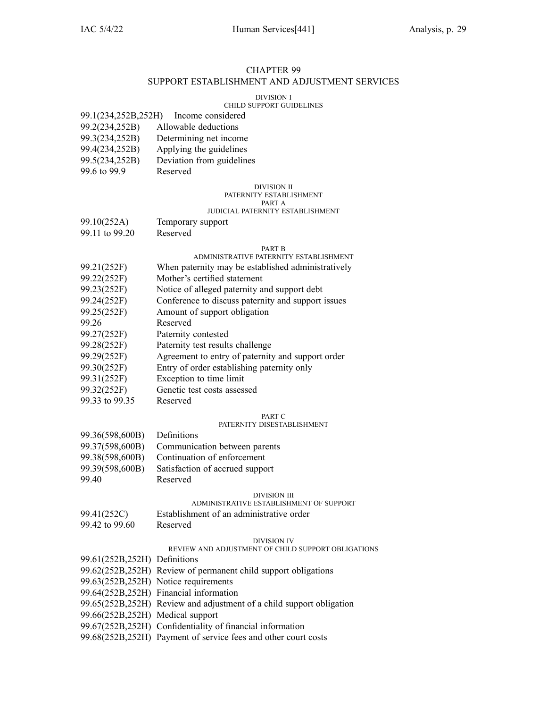### CHAPTER 99 SUPPORT ESTABLISHMENT AND ADJUSTMENT SERVICES

#### DIVISION I

### CHILD SUPPORT GUIDELINES

| 99.1(234,252B,252H) | Income considered |
|---------------------|-------------------|
|                     |                   |

- 99.2(234,252B) Allowable deductions
- 99.3(234,252B) Determining net income
- 99.4(234,252B) Applying the guidelines
- 99.5(234,252B) Deviation from guidelines
- 99.6 to 99.9 Reserved

### DIVISION II

#### PATERNITY ESTABLISHMENT PART A

#### JUDICIAL PATERNITY ESTABLISHMENT

- 99.10(252A) Temporary suppor<sup>t</sup>
- 99.11 to 99.20 Reserved

#### PART B

### ADMINISTRATIVE PATERNITY ESTABLISHMENT

- 99.21(252F) When paternity may be established administratively
- 99.22(252F) Mother's certified statement
- 99.23(252F) Notice of alleged paternity and suppor<sup>t</sup> debt
- 99.24(252F) Conference to discuss paternity and suppor<sup>t</sup> issues
- 99.25(252F) Amount of suppor<sup>t</sup> obligation
- 99.26 Reserved
- 99.27(252F) Paternity contested
- 99.28(252F) Paternity test results challenge
- 99.29(252F) Agreement to entry of paternity and suppor<sup>t</sup> order
- 99.30(252F) Entry of order establishing paternity only
- 99.31(252F) Exception to time limit
- 99.32(252F) Genetic test costs assessed
- 99.33 to 99.35 Reserved

#### PART C

#### PATERNITY DISESTABLISHMENT

| 99.36(598,600B) | Definitions                     |
|-----------------|---------------------------------|
| 99.37(598,600B) | Communication between parents   |
| 99.38(598,600B) | Continuation of enforcement     |
| 99.39(598,600B) | Satisfaction of accrued support |
| 99.40           | Reserved                        |

#### DIVISION III

### ADMINISTRATIVE ESTABLISHMENT OF SUPPORT

- 99.41(252C) Establishment of an administrative order
- 99.42 to 99.60 Reserved

#### DIVISION IV

### REVIEW AND ADJUSTMENT OF CHILD SUPPORT OBLIGATIONS

99.61(252B,252H) Definitions 99.62(252B,252H) Review of permanen<sup>t</sup> child suppor<sup>t</sup> obligations 99.63(252B,252H) Notice requirements 99.64(252B,252H) Financial information 99.65(252B,252H) Review and adjustment of <sup>a</sup> child suppor<sup>t</sup> obligation 99.66(252B,252H) Medical suppor<sup>t</sup> 99.67(252B,252H) Confidentiality of financial information 99.68(252B,252H) Payment of service fees and other court costs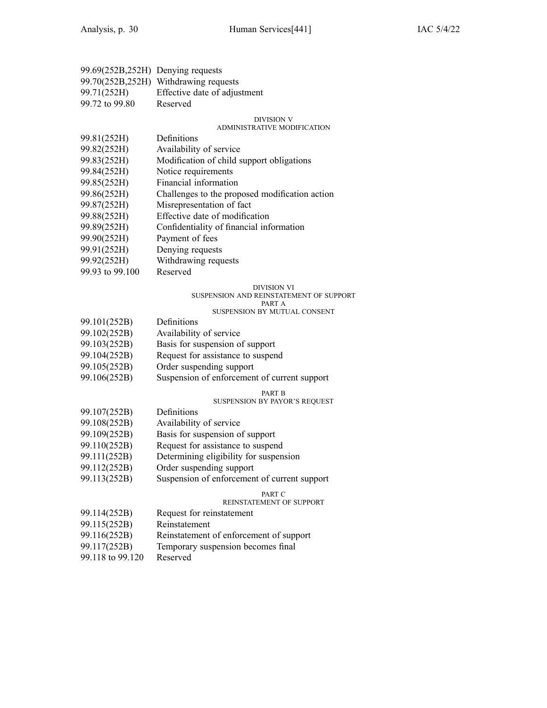| 99.69(252B,252H) Denying requests |                                       |
|-----------------------------------|---------------------------------------|
|                                   | 99.70(252B,252H) Withdrawing requests |
| 99.71(252H)                       | Effective date of adjustment          |
| 99.72 to 99.80                    | Reserved                              |

#### DIVISION V

#### ADMINISTRATIVE MODIFICATION

| 99.81(252H) | Definitions |
|-------------|-------------|
|-------------|-------------|

- 99.82(252H) Availability of service
- 99.83(252H) Modification of child suppor<sup>t</sup> obligations
- 99.84(252H) Notice requirements
- 99.85(252H) Financial information
- 99.86(252H) Challenges to the proposed modification action
- 99.87(252H) Misrepresentation of fact
- 99.88(252H) Effective date of modification
- 99.89(252H) Confidentiality of financial information
- 99.90(252H) Payment of fees
- 99.91(252H) Denying requests
- 99.92(252H) Withdrawing requests
- 99.93 to 99.100 Reserved

#### DIVISION VI

#### SUSPENSION AND REINSTATEMENT OF SUPPORT

#### PART A

### SUSPENSION BY MUTUAL CONSENT

| 99.101(252B) | Definitions                       |
|--------------|-----------------------------------|
| 99.102(252B) | Availability of service           |
| 99.103(252B) | Basis for suspension of support   |
| 99.104(252B) | Request for assistance to suspend |
| 99.105(252B) | Order suspending support          |
|              |                                   |

99.106(252B) Suspension of enforcement of current suppor<sup>t</sup>

### PART B

### SUSPENSION BY PAYOR'S REQUEST

- 99.107(252B) Definitions 99.108(252B) Availability of service 99.109(252B) Basis for suspension of suppor<sup>t</sup> 99.110(252B) Request for assistance to suspend 99.111(252B) Determining eligibility for suspension 99.112(252B) Order suspending suppor<sup>t</sup>
- 99.113(252B) Suspension of enforcement of current suppor<sup>t</sup>

#### PART C

#### REINSTATEMENT OF SUPPORT

99.114(252B) Request for reinstatement 99.115(252B) Reinstatement 99.116(252B) Reinstatement of enforcement of suppor<sup>t</sup> 99.117(252B) Temporary suspension becomes final 99.118 to 99.120 Reserved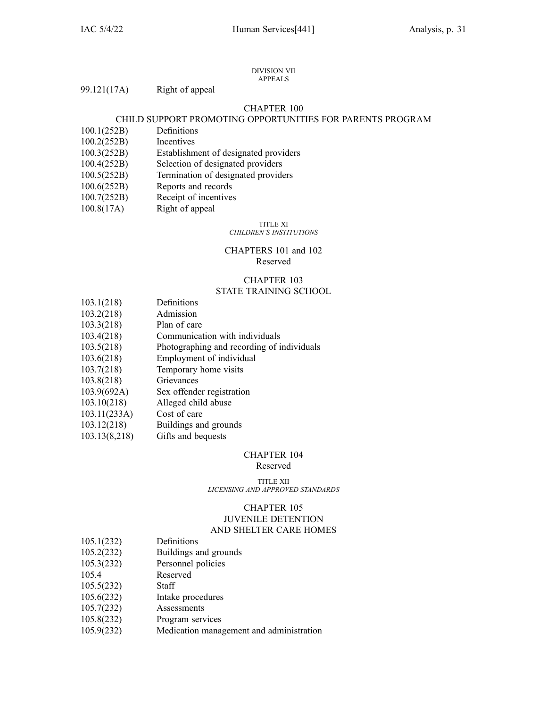#### DIVISION VII APPEALS

|  | 99.121(17A) | Right of appeal |
|--|-------------|-----------------|
|--|-------------|-----------------|

### CHAPTER 100

### CHILD SUPPORT PROMOTING OPPORTUNITIES FOR PARENTS PROGRAM

- 100.1(252B) Definitions
- 100.2(252B) Incentives
- 100.3(252B) Establishment of designated providers
- 100.4(252B) Selection of designated providers
- 100.5(252B) Termination of designated providers
- 100.6(252B) Reports and records
- 100.7(252B) Receipt of incentives
- 100.8(17A) Right of appeal

#### TITLE XI *CHILDREN'S INSTITUTIONS*

### CHAPTERS 101 and 102 Reserved

### CHAPTER 103 STATE TRAINING SCHOOL

- 103.1(218) Definitions
- 103.2(218) Admission
- 103.3(218) Plan of care
- 103.4(218) Communication with individuals
- 103.5(218) Photographing and recording of individuals
- 103.6(218) Employment of individual
- 103.7(218) Temporary home visits
- 103.8(218) Grievances
- 103.9(692A) Sex offender registration
- 103.10(218) Alleged child abuse
- 103.11(233A) Cost of care
- 103.12(218) Buildings and grounds
- 103.13(8,218) Gifts and bequests

#### CHAPTER 104

#### Reserved

TITLE XII *LICENSING AND APPROVED STANDARDS*

### CHAPTER 105 JUVENILE DETENTION AND SHELTER CARE HOMES

- 105.1(232) Definitions
- 105.2(232) Buildings and grounds
- 105.3(232) Personnel policies
- 105.4 Reserved
- 105.5(232) Staff
- 105.6(232) Intake procedures
- 105.7(232) Assessments
- 105.8(232) Program services
- 105.9(232) Medication managemen<sup>t</sup> and administration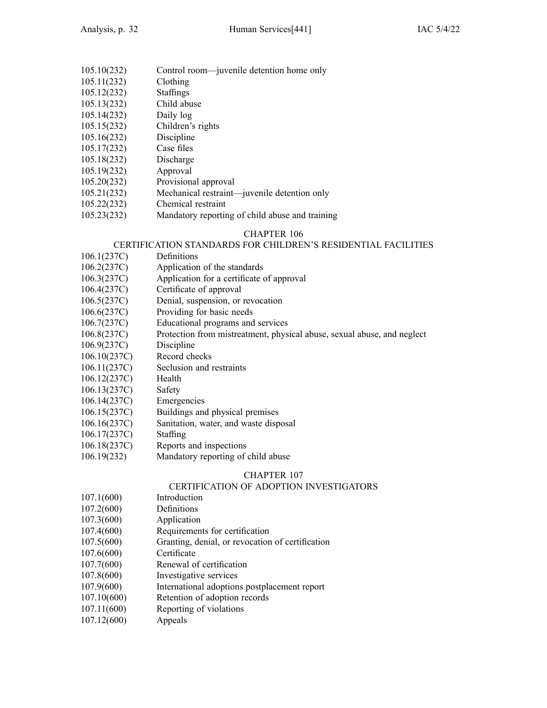- 105.10(232) Control room—juvenile detention home only
- 105.11(232) Clothing
- 105.12(232) Staffings
- 105.13(232) Child abuse
- 105.14(232) Daily log
- 105.15(232) Children's rights
- 105.16(232) Discipline
- 105.17(232) Case files
- 105.18(232) Discharge
- 105.19(232) Approval
- 105.20(232) Provisional approval
- 105.21(232) Mechanical restraint—juvenile detention only
- 105.22(232) Chemical restraint
- 105.23(232) Mandatory reporting of child abuse and training

### CERTIFICATION STANDARDS FOR CHILDREN'S RESIDENTIAL FACILITIES

- 106.1(237C) Definitions
- 106.2(237C) Application of the standards
- 106.3(237C) Application for <sup>a</sup> certificate of approval
- 106.4(237C) Certificate of approval
- 106.5(237C) Denial, suspension, or revocation
- 106.6(237C) Providing for basic needs
- 106.7(237C) Educational programs and services
- 106.8(237C) Protection from mistreatment, physical abuse, sexual abuse, and neglect
- 106.9(237C) Discipline
- 106.10(237C) Record checks
- 106.11(237C) Seclusion and restraints
- 106.12(237C) Health
- 106.13(237C) Safety
- 106.14(237C) Emergencies
- 106.15(237C) Buildings and physical premises
- 106.16(237C) Sanitation, water, and waste disposal
- 106.17(237C) Staffing
- 106.18(237C) Reports and inspections
- 106.19(232) Mandatory reporting of child abuse

### CHAPTER 107

### CERTIFICATION OF ADOPTION INVESTIGATORS

- 107.1(600) Introduction
- 107.2(600) Definitions
- 107.3(600) Application
- 107.4(600) Requirements for certification
- 107.5(600) Granting, denial, or revocation of certification
- 107.6(600) Certificate
- 107.7(600) Renewal of certification
- 107.8(600) Investigative services
- 107.9(600) International adoptions postplacement repor<sup>t</sup>
- 107.10(600) Retention of adoption records
- 107.11(600) Reporting of violations
- 107.12(600) Appeals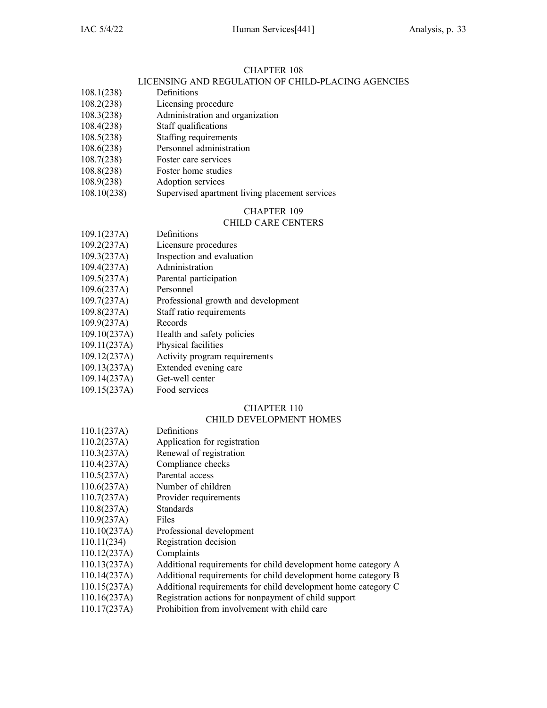### LICENSING AND REGULATION OF CHILD-PLACING AGENCIES

- 108.1(238) Definitions
- 108.2(238) Licensing procedure
- 108.3(238) Administration and organization
- 108.4(238) Staff qualifications
- 108.5(238) Staffing requirements
- 108.6(238) Personnel administration
- 108.7(238) Foster care services
- 108.8(238) Foster home studies
- 108.9(238) Adoption services
- 108.10(238) Supervised apartment living placement services

### CHAPTER 109

### CHILD CARE CENTERS

- 109.1(237A) Definitions 109.2(237A) Licensure procedures 109.3(237A) Inspection and evaluation 109.4(237A) Administration 109.5(237A) Parental participation 109.6(237A) Personnel 109.7(237A) Professional growth and development 109.8(237A) Staff ratio requirements 109.9(237A) Records 109.10(237A) Health and safety policies 109.11(237A) Physical facilities
- 109.12(237A) Activity program requirements
- 109.13(237A) Extended evening care
- 109.14(237A) Get-well center
- 109.15(237A) Food services

### CHAPTER 110

### CHILD DEVELOPMENT HOMES

- 110.1(237A) Definitions
- 110.2(237A) Application for registration
- 110.3(237A) Renewal of registration
- 110.4(237A) Compliance checks
- 110.5(237A) Parental access
- 110.6(237A) Number of children
- 110.7(237A) Provider requirements
- 110.8(237A) Standards
- 110.9(237A) Files
- 110.10(237A) Professional development
- 110.11(234) Registration decision
- 110.12(237A) Complaints
- 110.13(237A) Additional requirements for child development home category A
- 110.14(237A) Additional requirements for child development home category B
- 110.15(237A) Additional requirements for child development home category C
- 110.16(237A) Registration actions for nonpaymen<sup>t</sup> of child suppor<sup>t</sup>
- 110.17(237A) Prohibition from involvement with child care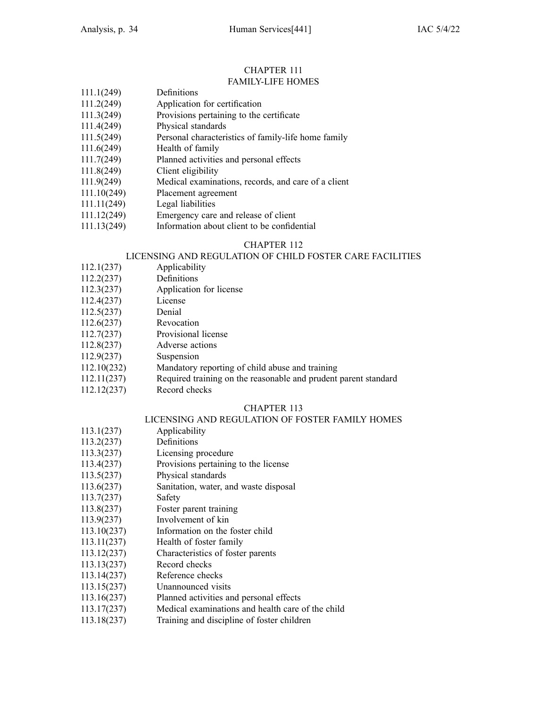#### CHAPTER 111 FAMILY-LIFE HOMES

| 111.1(249)  | Definitions                                         |
|-------------|-----------------------------------------------------|
| 111.2(249)  | Application for certification                       |
| 111.3(249)  | Provisions pertaining to the certificate            |
| 111.4(249)  | Physical standards                                  |
| 111.5(249)  | Personal characteristics of family-life home family |
| 111.6(249)  | Health of family                                    |
| 111.7(249)  | Planned activities and personal effects             |
| 111.8(249)  | Client eligibility                                  |
| 111.9(249)  | Medical examinations, records, and care of a client |
| 111.10(249) | Placement agreement                                 |
| 111.11(249) | Legal liabilities                                   |
|             |                                                     |

- 111.12(249) Emergency care and release of client
- 111.13(249) Information about client to be confidential

### CHAPTER 112

### LICENSING AND REGULATION OF CHILD FOSTER CARE FACILITIES

- 112.1(237) Applicability
- 112.2(237) Definitions
- 112.3(237) Application for license
- 112.4(237) License
- 112.5(237) Denial
- 112.6(237) Revocation
- 112.7(237) Provisional license
- 112.8(237) Adverse actions
- 112.9(237) Suspension
- 112.10(232) Mandatory reporting of child abuse and training
- 112.11(237) Required training on the reasonable and prudent paren<sup>t</sup> standard
- 112.12(237) Record checks

### CHAPTER 113

### LICENSING AND REGULATION OF FOSTER FAMILY HOMES

- 113.1(237) Applicability
- 113.2(237) Definitions
- 113.3(237) Licensing procedure
- 113.4(237) Provisions pertaining to the license
- 113.5(237) Physical standards
- 113.6(237) Sanitation, water, and waste disposal
- 113.7(237) Safety
- 113.8(237) Foster paren<sup>t</sup> training
- 113.9(237) Involvement of kin
- 113.10(237) Information on the foster child
- 113.11(237) Health of foster family
- 113.12(237) Characteristics of foster parents
- 113.13(237) Record checks
- 113.14(237) Reference checks
- 113.15(237) Unannounced visits
- 113.16(237) Planned activities and personal effects
- 113.17(237) Medical examinations and health care of the child
- 113.18(237) Training and discipline of foster children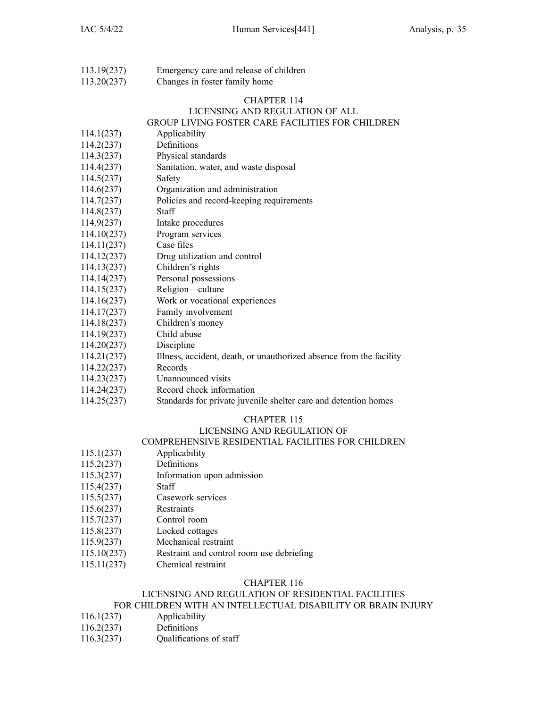113.19(237) Emergency care and release of children 113.20(237) Changes in foster family home

### CHAPTER 114

#### LICENSING AND REGULATION OF ALL GROUP LIVING FOSTER CARE FACILITIES FOR CHILDREN

- 114.1(237) Applicability 114.2(237) Definitions
- 114.3(237) Physical standards
- 114.4(237) Sanitation, water, and waste disposal
- 114.5(237) Safety
- 114.6(237) Organization and administration
- 114.7(237) Policies and record-keeping requirements
- 114.8(237) Staff
- 114.9(237) Intake procedures
- 114.10(237) Program services
- 114.11(237) Case files
- 114.12(237) Drug utilization and control
- 114.13(237) Children's rights
- 114.14(237) Personal possessions
- 114.15(237) Religion—culture
- 114.16(237) Work or vocational experiences
- 114.17(237) Family involvement
- 114.18(237) Children's money
- 114.19(237) Child abuse
- 114.20(237) Discipline
- 114.21(237) Illness, accident, death, or unauthorized absence from the facility
- 114.22(237) Records
- 114.23(237) Unannounced visits
- 114.24(237) Record check information
- 114.25(237) Standards for private juvenile shelter care and detention homes

### CHAPTER 115

### LICENSING AND REGULATION OF

### COMPREHENSIVE RESIDENTIAL FACILITIES FOR CHILDREN

- 115.1(237) Applicability
- 115.2(237) Definitions
- 115.3(237) Information upon admission
- 115.4(237) Staff
- 115.5(237) Casework services
- 115.6(237) Restraints
- 115.7(237) Control room
- 115.8(237) Locked cottages
- 115.9(237) Mechanical restraint
- 115.10(237) Restraint and control room use debriefing
- 115.11(237) Chemical restraint

### CHAPTER 116

### LICENSING AND REGULATION OF RESIDENTIAL FACILITIES

### FOR CHILDREN WITH AN INTELLECTUAL DISABILITY OR BRAIN INJURY

- 116.1(237) Applicability
- 116.2(237) Definitions
- 116.3(237) Qualifications of staff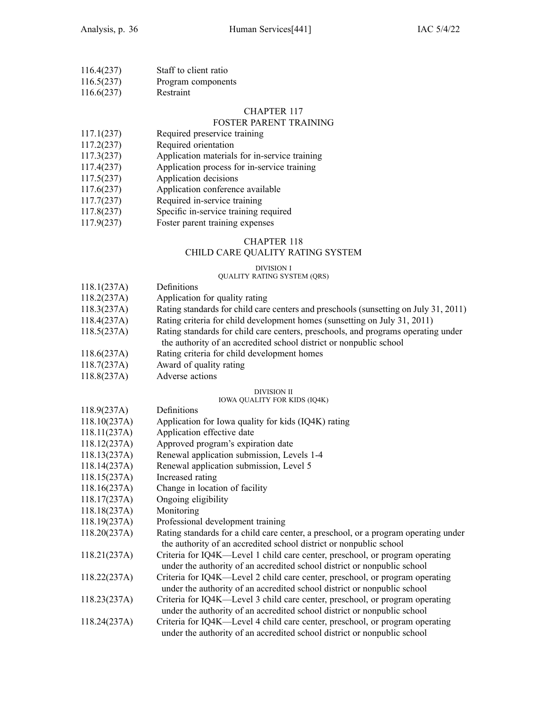| 116.4(237) | Staff to client ratio |
|------------|-----------------------|
| 116.5(237) | Program components    |

116.6(237) Restraint

#### CHAPTER 117

### FOSTER PARENT TRAINING

- 117.1(237) Required preservice training
- 117.2(237) Required orientation
- 117.3(237) Application materials for in-service training
- 117.4(237) Application process for in-service training
- 117.5(237) Application decisions
- 117.6(237) Application conference available
- 117.7(237) Required in-service training
- 117.8(237) Specific in-service training required
- 117.9(237) Foster paren<sup>t</sup> training expenses

### CHAPTER 118

### CHILD CARE QUALITY RATING SYSTEM

#### DIVISION I

### QUALITY RATING SYSTEM (QRS)

- 118.1(237A) Definitions
- 118.2(237A) Application for quality rating
- 118.3(237A) Rating standards for child care centers and preschools (sunsetting on July 31, 2011)
- 118.4(237A) Rating criteria for child development homes (sunsetting on July 31, 2011)
- 118.5(237A) Rating standards for child care centers, preschools, and programs operating under the authority of an accredited school district or nonpublic school
- 118.6(237A) Rating criteria for child development homes
- 118.7(237A) Award of quality rating
- 118.8(237A) Adverse actions

#### DIVISION II

#### IOWA QUALITY FOR KIDS (IQ4K)

118.9(237A) Definitions 118.10(237A) Application for Iowa quality for kids (IQ4K) rating 118.11(237A) Application effective date 118.12(237A) Approved program's expiration date 118.13(237A) Renewal application submission, Levels 1-4 118.14(237A) Renewal application submission, Level 5 118.15(237A) Increased rating 118.16(237A) Change in location of facility 118.17(237A) Ongoing eligibility 118.18(237A) Monitoring 118.19(237A) Professional development training 118.20(237A) Rating standards for <sup>a</sup> child care center, <sup>a</sup> preschool, or <sup>a</sup> program operating under the authority of an accredited school district or nonpublic school 118.21(237A) Criteria for IQ4K—Level 1 child care center, preschool, or program operating under the authority of an accredited school district or nonpublic school 118.22(237A) Criteria for IQ4K—Level 2 child care center, preschool, or program operating under the authority of an accredited school district or nonpublic school 118.23(237A) Criteria for IQ4K—Level 3 child care center, preschool, or program operating under the authority of an accredited school district or nonpublic school 118.24(237A) Criteria for IQ4K—Level 4 child care center, preschool, or program operating under the authority of an accredited school district or nonpublic school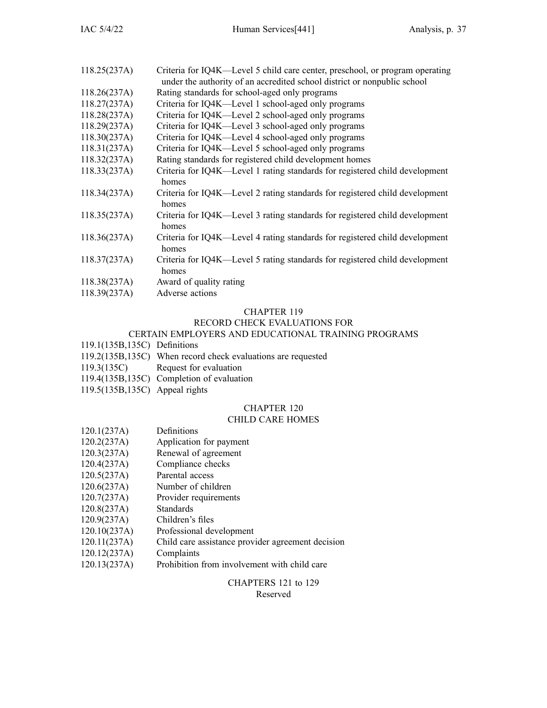| Criteria for IQ4K—Level 5 child care center, preschool, or program operating<br>under the authority of an accredited school district or nonpublic school |
|----------------------------------------------------------------------------------------------------------------------------------------------------------|
| Rating standards for school-aged only programs                                                                                                           |
| Criteria for IQ4K—Level 1 school-aged only programs                                                                                                      |
| Criteria for IQ4K—Level 2 school-aged only programs                                                                                                      |
| Criteria for IQ4K—Level 3 school-aged only programs                                                                                                      |
| Criteria for IQ4K—Level 4 school-aged only programs                                                                                                      |
| Criteria for IQ4K—Level 5 school-aged only programs                                                                                                      |
| Rating standards for registered child development homes                                                                                                  |
| Criteria for IQ4K—Level 1 rating standards for registered child development<br>homes                                                                     |
| Criteria for IQ4K—Level 2 rating standards for registered child development<br>homes                                                                     |
| Criteria for IQ4K—Level 3 rating standards for registered child development<br>homes                                                                     |
| Criteria for IQ4K—Level 4 rating standards for registered child development<br>homes                                                                     |
| Criteria for IQ4K—Level 5 rating standards for registered child development<br>homes                                                                     |
| Award of quality rating                                                                                                                                  |
| Adverse actions                                                                                                                                          |
|                                                                                                                                                          |

### RECORD CHECK EVALUATIONS FOR

### CERTAIN EMPLOYERS AND EDUCATIONAL TRAINING PROGRAMS

- 119.1(135B,135C) Definitions
- 119.2(135B,135C) When record check evaluations are requested
- 119.3(135C) Request for evaluation
- 119.4(135B,135C) Completion of evaluation
- 119.5(135B,135C) Appeal rights

### CHAPTER 120

### CHILD CARE HOMES

- 120.1(237A) Definitions
- 120.2(237A) Application for paymen<sup>t</sup>
- 120.3(237A) Renewal of agreemen<sup>t</sup>
- 120.4(237A) Compliance checks
- 120.5(237A) Parental access
- 120.6(237A) Number of children
- 120.7(237A) Provider requirements<br>120.8(237A) Standards
- $120.8(237A)$
- 120.9(237A) Children's files
- 120.10(237A) Professional development
- 120.11(237A) Child care assistance provider agreemen<sup>t</sup> decision
- 120.12(237A) Complaints
- 120.13(237A) Prohibition from involvement with child care

### CHAPTERS 121 to 129

#### Reserved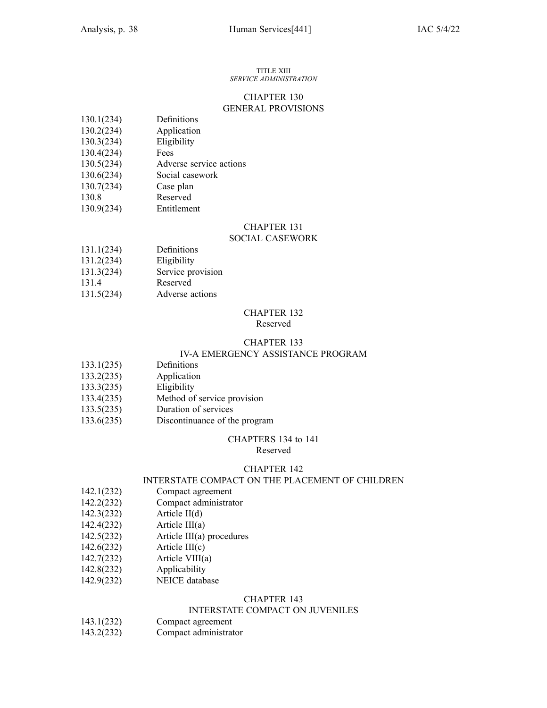#### TITLE XIII *SERVICE ADMINISTRATION*

### CHAPTER 130 GENERAL PROVISIONS

| 130.1(234) | Definitions |
|------------|-------------|
|------------|-------------|

- 130.2(234) Application
- 130.3(234) Eligibility
- 130.4(234) Fees
- 130.5(234) Adverse service actions
- 130.6(234) Social casework
- 130.7(234) Case plan
- 130.8 Reserved
- 130.9(234) Entitlement

### CHAPTER 131

### SOCIAL CASEWORK

- 131.1(234) Definitions
- 131.2(234) Eligibility
- 131.3(234) Service provision
- 131.4 Reserved
- 131.5(234) Adverse actions

#### CHAPTER 132 Reserved

#### CHAPTER 133 IV-A EMERGENCY ASSISTANCE PROGRAM

- 133.1(235) Definitions
- 133.2(235) Application
- 133.3(235) Eligibility
- 133.4(235) Method of service provision
- 133.5(235) Duration of services
- 133.6(235) Discontinuance of the program

### CHAPTERS 134 to 141

Reserved

### CHAPTER 142

### INTERSTATE COMPACT ON THE PLACEMENT OF CHILDREN

- 142.1(232) Compact agreemen<sup>t</sup>
- 142.2(232) Compact administrator
- 142.3(232) Article II(d)
- 142.4(232) Article III(a)
- 142.5(232) Article III(a) procedures
- 142.6(232) Article III(c)
- 142.7(232) Article VIII(a)
- 142.8(232) Applicability
- 142.9(232) NEICE database

### CHAPTER 143

### INTERSTATE COMPACT ON JUVENILES

- 143.1(232) Compact agreemen<sup>t</sup>
- 143.2(232) Compact administrator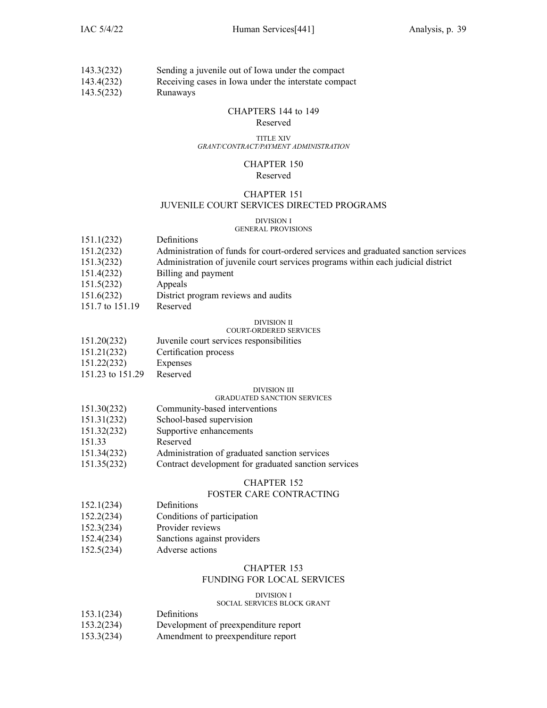| 143.3(232)  | Sending a juvenile out of Iowa under the compact         |
|-------------|----------------------------------------------------------|
| 1.42.4(222) | December 2008 to Letter and the first contract community |

143.4(232) Receiving cases in Iowa under the interstate compac<sup>t</sup>

143.5(232) Runaways

### CHAPTERS 144 to 149

#### Reserved

#### TITLE XIV *GRANT/CONTRACT/PAYMENT ADMINISTRATION*

#### CHAPTER 150 Reserved

### CHAPTER 151 JUVENILE COURT SERVICES DIRECTED PROGRAMS

#### DIVISION I GENERAL PROVISIONS

| 151.1(232)      | Definitions                                                                        |
|-----------------|------------------------------------------------------------------------------------|
| 151.2(232)      | Administration of funds for court-ordered services and graduated sanction services |
| 151.3(232)      | Administration of juvenile court services programs within each judicial district   |
| 151.4(232)      | Billing and payment                                                                |
| 151.5(232)      | Appeals                                                                            |
| 151.6(232)      | District program reviews and audits                                                |
| 151.7 to 151.19 | Reserved                                                                           |
|                 | <b>DIVISION II</b>                                                                 |
|                 | <b>COURT-ORDERED SERVICES</b>                                                      |
| 151.20(232)     | Juvenile court services responsibilities                                           |

- 151.21(232) Certification process
- 151.22(232) Expenses
- 151.23 to 151.29 Reserved

### DIVISION III

### GRADUATED SANCTION SERVICES

- 151.30(232) Community-based interventions 151.31(232) School-based supervision 151.32(232) Supportive enhancements 151.33 Reserved 151.34(232) Administration of graduated sanction services
- 151.35(232) Contract development for graduated sanction services

### CHAPTER 152

### FOSTER CARE CONTRACTING

- 152.1(234) Definitions
- 152.2(234) Conditions of participation
- 152.3(234) Provider reviews
- 152.4(234) Sanctions against providers
- 152.5(234) Adverse actions

### CHAPTER 153

### FUNDING FOR LOCAL SERVICES

### DIVISION I

### SOCIAL SERVICES BLOCK GRANT

- 153.1(234) Definitions
- 153.2(234) Development of preexpenditure repor<sup>t</sup>
- 153.3(234) Amendment to preexpenditure repor<sup>t</sup>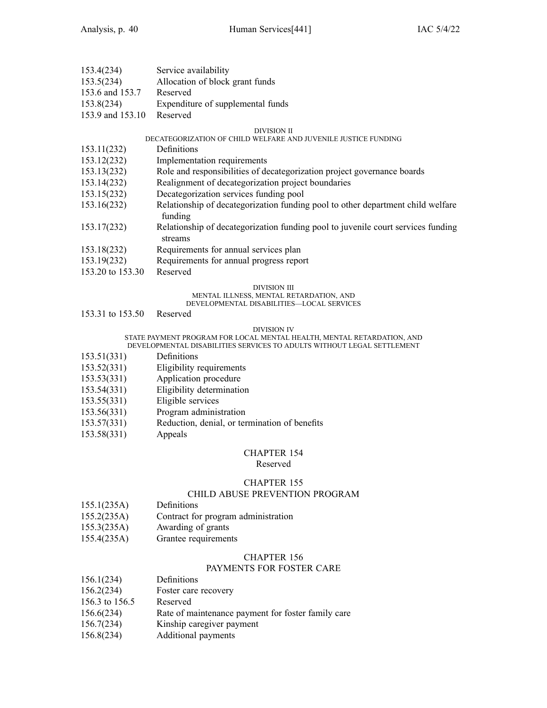| 153.4(234)       | Service availability              |
|------------------|-----------------------------------|
| 153.5(234)       | Allocation of block grant funds   |
| 153.6 and 153.7  | Reserved                          |
| 153.8(234)       | Expenditure of supplemental funds |
| 153.9 and 153.10 | Reserved                          |

#### DIVISION II

### DECATEGORIZATION OF CHILD WELFARE AND JUVENILE JUSTICE FUNDING

- 153.11(232) Definitions
- 153.12(232) Implementation requirements
- 153.13(232) Role and responsibilities of decategorization project governance boards
- 153.14(232) Realignment of decategorization project boundaries
- 153.15(232) Decategorization services funding pool
- 153.16(232) Relationship of decategorization funding pool to other department child welfare funding
- 153.17(232) Relationship of decategorization funding pool to juvenile court services funding streams
- 153.18(232) Requirements for annual services plan
- 153.19(232) Requirements for annual progress repor<sup>t</sup>
- 153.20 to 153.30 Reserved

#### DIVISION III

### MENTAL ILLNESS, MENTAL RETARDATION, AND

### DEVELOPMENTAL DISABILITIES—LOCAL SERVICES

153.31 to 153.50 Reserved

#### DIVISION IV

#### STATE PAYMENT PROGRAM FOR LOCAL MENTAL HEALTH, MENTAL RETARDATION, AND DEVELOPMENTAL DISABILITIES SERVICES TO ADULTS WITHOUT LEGAL SETTLEMENT

- 153.51(331) Definitions
- 153.52(331) Eligibility requirements
- 153.53(331) Application procedure
- 153.54(331) Eligibility determination
- 
- 153.55(331) Eligible services
- 153.56(331) Program administration
- 153.57(331) Reduction, denial, or termination of benefits
- 153.58(331) Appeals

### CHAPTER 154

### Reserved

### CHAPTER 155

### CHILD ABUSE PREVENTION PROGRAM

- 155.1(235A) Definitions
- 155.2(235A) Contract for program administration
- 155.3(235A) Awarding of grants
- 155.4(235A) Grantee requirements

### CHAPTER 156

### PAYMENTS FOR FOSTER CARE

- 156.1(234) Definitions
- 156.2(234) Foster care recovery
- 156.3 to 156.5 Reserved
- 156.6(234) Rate of maintenance paymen<sup>t</sup> for foster family care
- 156.7(234) Kinship caregiver paymen<sup>t</sup>
- 156.8(234) Additional payments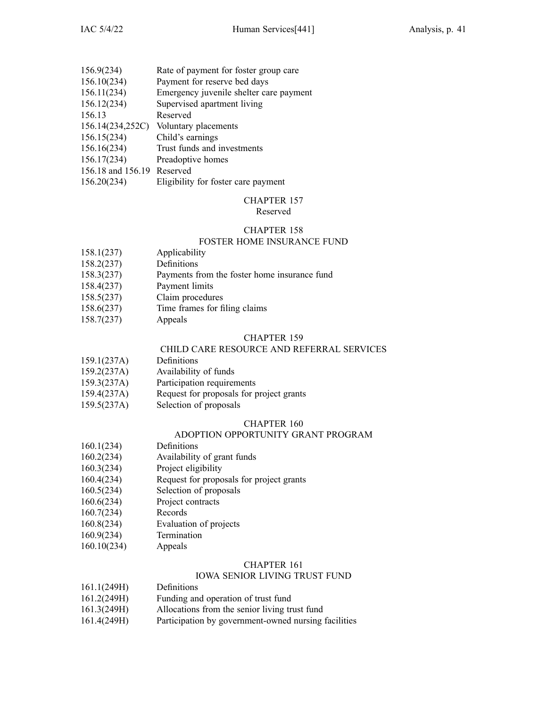| 156.9(234)                 | Rate of payment for foster group care   |
|----------------------------|-----------------------------------------|
| 156.10(234)                | Payment for reserve bed days            |
| 156.11(234)                | Emergency juvenile shelter care payment |
| 156.12(234)                | Supervised apartment living             |
| 156.13                     | Reserved                                |
| 156.14(234,252C)           | Voluntary placements                    |
| 156.15(234)                | Child's earnings                        |
| 156.16(234)                | Trust funds and investments             |
| 156.17(234)                | Preadoptive homes                       |
| 156.18 and 156.19 Reserved |                                         |
| 156.20(234)                | Eligibility for foster care payment     |

### Reserved

### CHAPTER 158

### FOSTER HOME INSURANCE FUND

- 158.1(237) Applicability
- 158.2(237) Definitions
- 158.3(237) Payments from the foster home insurance fund
- 158.4(237) Payment limits
- 158.5(237) Claim procedures
- 158.6(237) Time frames for filing claims
- 158.7(237) Appeals

#### CHAPTER 159

### CHILD CARE RESOURCE AND REFERRAL SERVICES

- 159.1(237A) Definitions
- 159.2(237A) Availability of funds
- 159.3(237A) Participation requirements
- 159.4(237A) Request for proposals for project grants
- 159.5(237A) Selection of proposals

### CHAPTER 160

### ADOPTION OPPORTUNITY GRANT PROGRAM

- 160.1(234) Definitions
- 160.2(234) Availability of gran<sup>t</sup> funds
- 160.3(234) Project eligibility
- 160.4(234) Request for proposals for project grants
- 160.5(234) Selection of proposals
- 160.6(234) Project contracts
- 160.7(234) Records
- 160.8(234) Evaluation of projects
- 160.9(234) Termination
- 160.10(234) Appeals

### CHAPTER 161

#### IOWA SENIOR LIVING TRUST FUND

- 161.1(249H) Definitions
- 161.2(249H) Funding and operation of trust fund
- 161.3(249H) Allocations from the senior living trust fund
- 161.4(249H) Participation by government-owned nursing facilities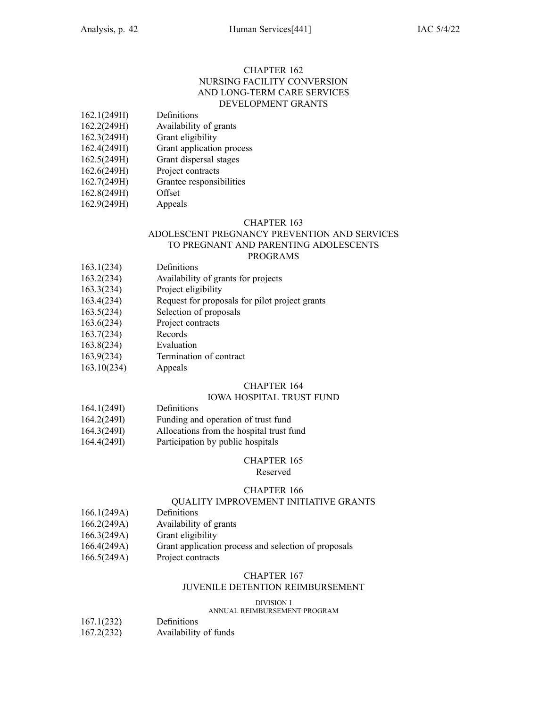### CHAPTER 162 NURSING FACILITY CONVERSION AND LONG-TERM CARE SERVICES DEVELOPMENT GRANTS

- 162.1(249H) Definitions
- 162.2(249H) Availability of grants
- 162.3(249H) Grant eligibility
- 162.4(249H) Grant application process
- 162.5(249H) Grant dispersal stages
- 162.6(249H) Project contracts
- 162.7(249H) Grantee responsibilities
- 162.8(249H) Offset
- 162.9(249H) Appeals

#### CHAPTER 163

## ADOLESCENT PREGNANCY PREVENTION AND SERVICES TO PREGNANT AND PARENTING ADOLESCENTS

### PROGRAMS

- 163.1(234) Definitions
- 163.2(234) Availability of grants for projects
- 163.3(234) Project eligibility
- 163.4(234) Request for proposals for pilot project grants
- 163.5(234) Selection of proposals
- 163.6(234) Project contracts
- 163.7(234) Records
- 163.8(234) Evaluation
- 163.9(234) Termination of contract
- 163.10(234) Appeals

### CHAPTER 164

### IOWA HOSPITAL TRUST FUND

- 164.1(249I) Definitions
- 164.2(249I) Funding and operation of trust fund
- 164.3(249I) Allocations from the hospital trust fund
- 164.4(249I) Participation by public hospitals

### CHAPTER 165

### Reserved

### CHAPTER 166

### QUALITY IMPROVEMENT INITIATIVE GRANTS

- 166.1(249A) Definitions
- 166.2(249A) Availability of grants
- 166.3(249A) Grant eligibility
- 166.4(249A) Grant application process and selection of proposals
- 166.5(249A) Project contracts

### CHAPTER 167

### JUVENILE DETENTION REIMBURSEMENT

DIVISION I

### ANNUAL REIMBURSEMENT PROGRAM

- 167.1(232) Definitions
- 167.2(232) Availability of funds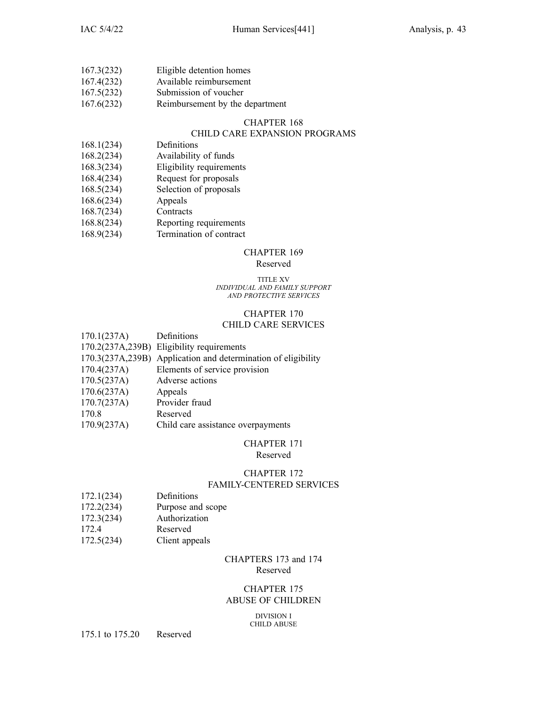| 167.3(232)                                       | Eligible detention homes |
|--------------------------------------------------|--------------------------|
| 167.4(232)                                       | Available reimbursement  |
| 167.5(232)                                       | Submission of voucher    |
| $\sim$ $\sim$ $\sim$ $\sim$ $\sim$ $\sim$ $\sim$ |                          |

167.6(232) Reimbursement by the department

### CHAPTER 168

### CHILD CARE EXPANSION PROGRAMS

- 168.1(234) Definitions
- 168.2(234) Availability of funds
- 168.3(234) Eligibility requirements
- 168.4(234) Request for proposals
- 168.5(234) Selection of proposals
- 168.6(234) Appeals
- 168.7(234) Contracts
- 168.8(234) Reporting requirements
- 168.9(234) Termination of contract

### CHAPTER 169

### Reserved

#### TITLE XV *INDIVIDUAL AND FAMILY SUPPORT AND PROTECTIVE SERVICES*

# CHAPTER 170

### CHILD CARE SERVICES

| 170.1(237A) | Definitions                                                   |
|-------------|---------------------------------------------------------------|
|             | 170.2(237A,239B) Eligibility requirements                     |
|             | 170.3(237A,239B) Application and determination of eligibility |
| 170.4(237A) | Elements of service provision                                 |
| 170.5(237A) | Adverse actions                                               |
| 170.6(237A) | Appeals                                                       |
| 170.7(237A) | Provider fraud                                                |
| 170.8       | Reserved                                                      |
| 170.9(237A) | Child care assistance overpayments                            |
|             |                                                               |

### CHAPTER 171

### Reserved

### CHAPTER 172

### FAMILY-CENTERED SERVICES

- 172.1(234) Definitions
- 172.2(234) Purpose and scope
- 172.3(234) Authorization
- 172.4 Reserved
- 172.5(234) Client appeals

### CHAPTERS 173 and 174 Reserved

### CHAPTER 175 ABUSE OF CHILDREN

DIVISION I CHILD ABUSE

175.1 to 175.20 Reserved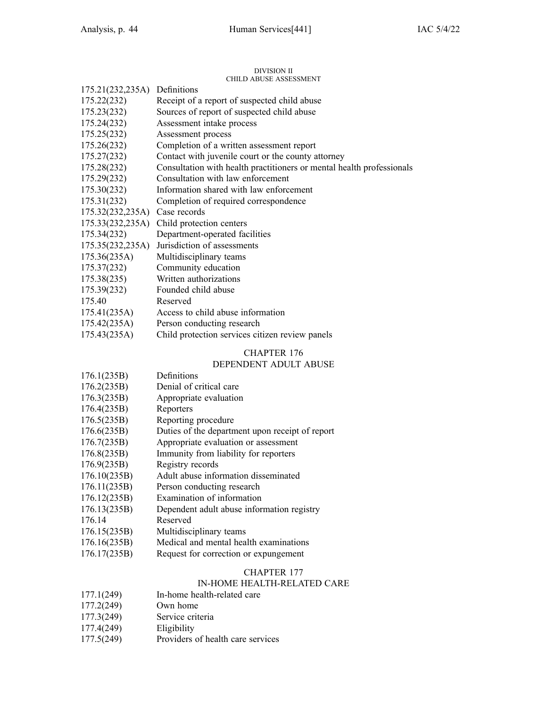#### DIVISION II CHILD ABUSE ASSESSMENT

|                               | CHILD ABUSE ASSESSMENT                                                |
|-------------------------------|-----------------------------------------------------------------------|
| 175.21(232,235A) Definitions  |                                                                       |
| 175.22(232)                   | Receipt of a report of suspected child abuse                          |
| 175.23(232)                   | Sources of report of suspected child abuse                            |
| 175.24(232)                   | Assessment intake process                                             |
| 175.25(232)                   | Assessment process                                                    |
| 175.26(232)                   | Completion of a written assessment report                             |
| 175.27(232)                   | Contact with juvenile court or the county attorney                    |
| 175.28(232)                   | Consultation with health practitioners or mental health professionals |
| 175.29(232)                   | Consultation with law enforcement                                     |
| 175.30(232)                   | Information shared with law enforcement                               |
| 175.31(232)                   | Completion of required correspondence                                 |
| 175.32(232,235A) Case records |                                                                       |
| 175.33(232, 235A)             | Child protection centers                                              |
| 175.34(232)                   | Department-operated facilities                                        |
| 175.35(232,235A)              | Jurisdiction of assessments                                           |
| 175.36(235A)                  | Multidisciplinary teams                                               |
| 175.37(232)                   | Community education                                                   |
| 175.38(235)                   | Written authorizations                                                |
| 175.39(232)                   | Founded child abuse                                                   |
| 175.40                        | Reserved                                                              |
| 175.41(235A)                  | Access to child abuse information                                     |
| 175.42(235A)                  | Person conducting research                                            |
| 175.43(235A)                  | Child protection services citizen review panels                       |

### CHAPTER 176

### DEPENDENT ADULT ABUSE

| 176.1(235B)  | Definitions                                     |
|--------------|-------------------------------------------------|
| 176.2(235B)  | Denial of critical care                         |
| 176.3(235B)  | Appropriate evaluation                          |
| 176.4(235B)  | Reporters                                       |
| 176.5(235B)  | Reporting procedure                             |
| 176.6(235B)  | Duties of the department upon receipt of report |
| 176.7(235B)  | Appropriate evaluation or assessment            |
| 176.8(235B)  | Immunity from liability for reporters           |
| 176.9(235B)  | Registry records                                |
| 176.10(235B) | Adult abuse information disseminated            |
| 176.11(235B) | Person conducting research                      |
| 176.12(235B) | Examination of information                      |
| 176.13(235B) | Dependent adult abuse information registry      |
| 176.14       | Reserved                                        |
| 176.15(235B) | Multidisciplinary teams                         |
| 176.16(235B) | Medical and mental health examinations          |
| 176.17(235B) | Request for correction or expungement           |

### CHAPTER 177

### IN-HOME HEALTH-RELATED CARE

| 177.1(249) | In-home health-related care |
|------------|-----------------------------|
|------------|-----------------------------|

- 177.2(249) Own home
- 177.3(249) Service criteria<br>177.4(249) Eligibility
- 177.4(249)
- 177.5(249) Providers of health care services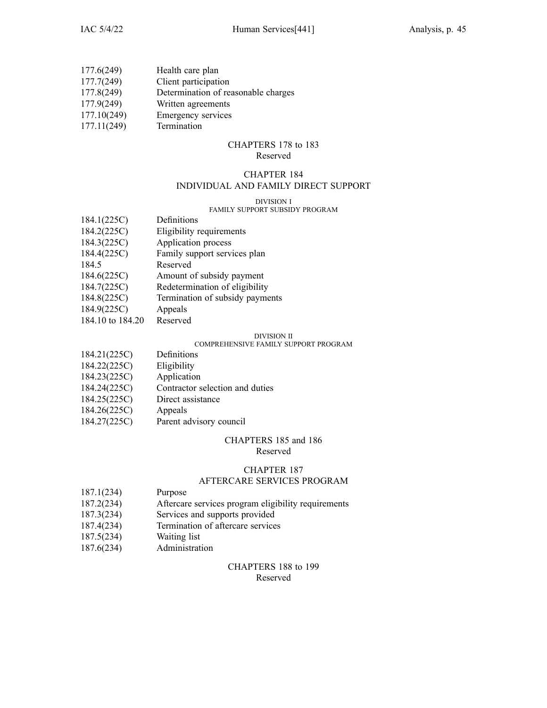| 177.6(249)  | Health care plan                    |
|-------------|-------------------------------------|
| 177.7(249)  | Client participation                |
| 177.8(249)  | Determination of reasonable charges |
| 177.9(249)  | Written agreements                  |
| 177.10(249) | Emergency services                  |
| 177.11(249) | Termination                         |

#### CHAPTERS 178 to 183 Reserved

# CHAPTER 184

### INDIVIDUAL AND FAMILY DIRECT SUPPORT

#### DIVISION I

### FAMILY SUPPORT SUBSIDY PROGRAM

| 184.1(225C)      | Definitions                     |
|------------------|---------------------------------|
| 184.2(225C)      | Eligibility requirements        |
| 184.3(225C)      | Application process             |
| 184.4(225C)      | Family support services plan    |
| 184.5            | Reserved                        |
| 184.6(225C)      | Amount of subsidy payment       |
| 184.7(225C)      | Redetermination of eligibility  |
| 184.8(225C)      | Termination of subsidy payments |
| 184.9(225C)      | Appeals                         |
| 184.10 to 184.20 | Reserved                        |

#### DIVISION II

### COMPREHENSIVE FAMILY SUPPORT PROGRAM

| 184.21(225C) | Definitions                     |
|--------------|---------------------------------|
| 184.22(225C) | Eligibility                     |
| 184.23(225C) | Application                     |
| 184.24(225C) | Contractor selection and duties |
| 184.25(225C) | Direct assistance               |
| 184.26(225C) | Appeals                         |
| 184.27(225C) | Parent advisory council         |

# CHAPTERS 185 and 186

### Reserved

### CHAPTER 187

### AFTERCARE SERVICES PROGRAM

- 187.1(234) Purpose
- 187.2(234) Aftercare services program eligibility requirements
- 187.3(234) Services and supports provided
- 187.4(234) Termination of aftercare services
- 187.5(234) Waiting list
- 187.6(234) Administration

### CHAPTERS 188 to 199 Reserved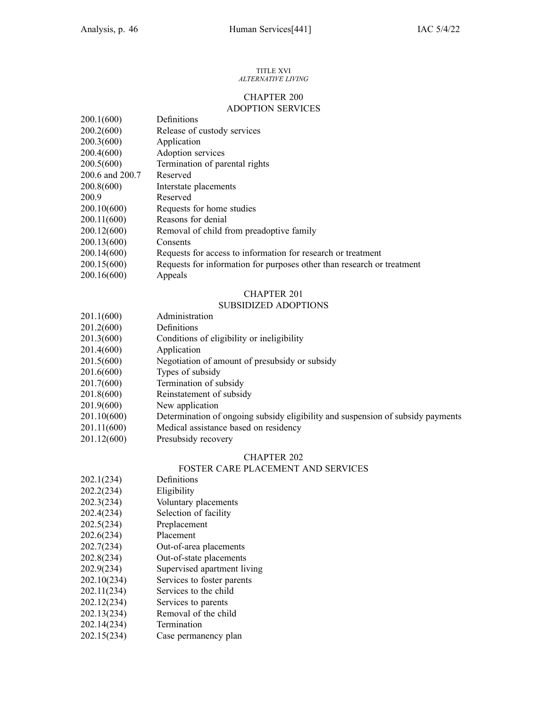#### TITLE XVI *ALTERNATIVE LIVING*

### CHAPTER 200 ADOPTION SERVICES

| 200.1(600)      | Definitions                                                            |
|-----------------|------------------------------------------------------------------------|
| 200.2(600)      | Release of custody services                                            |
| 200.3(600)      | Application                                                            |
| 200.4(600)      | Adoption services                                                      |
| 200.5(600)      | Termination of parental rights                                         |
| 200.6 and 200.7 | Reserved                                                               |
| 200.8(600)      | Interstate placements                                                  |
| 200.9           | Reserved                                                               |
| 200.10(600)     | Requests for home studies                                              |
| 200.11(600)     | Reasons for denial                                                     |
| 200.12(600)     | Removal of child from preadoptive family                               |
| 200.13(600)     | Consents                                                               |
| 200.14(600)     | Requests for access to information for research or treatment           |
| 200.15(600)     | Requests for information for purposes other than research or treatment |
| 200.16(600)     | Appeals                                                                |

### CHAPTER 201

### SUBSIDIZED ADOPTIONS

| 201.1(600)  | Administration                                                                  |
|-------------|---------------------------------------------------------------------------------|
| 201.2(600)  | Definitions                                                                     |
| 201.3(600)  | Conditions of eligibility or ineligibility                                      |
| 201.4(600)  | Application                                                                     |
| 201.5(600)  | Negotiation of amount of presubsidy or subsidy                                  |
| 201.6(600)  | Types of subsidy                                                                |
| 201.7(600)  | Termination of subsidy                                                          |
| 201.8(600)  | Reinstatement of subsidy                                                        |
| 201.9(600)  | New application                                                                 |
| 201.10(600) | Determination of ongoing subsidy eligibility and suspension of subsidy payments |
| 201.11(600) | Medical assistance based on residency                                           |
| 201.12(600) | Presubsidy recovery                                                             |

### CHAPTER 202

### FOSTER CARE PLACEMENT AND SERVICES

- 202.1(234) Definitions
- 202.2(234) Eligibility
- 202.3(234) Voluntary placements
- 202.4(234) Selection of facility
- 202.5(234) Preplacement
- 202.6(234) Placement
- 202.7(234) Out-of-area placements
- 202.8(234) Out-of-state placements
- 202.9(234) Supervised apartment living
- 202.10(234) Services to foster parents
- 202.11(234) Services to the child
- 202.12(234) Services to parents
- 202.13(234) Removal of the child
- 202.14(234) Termination
- 202.15(234) Case permanency plan